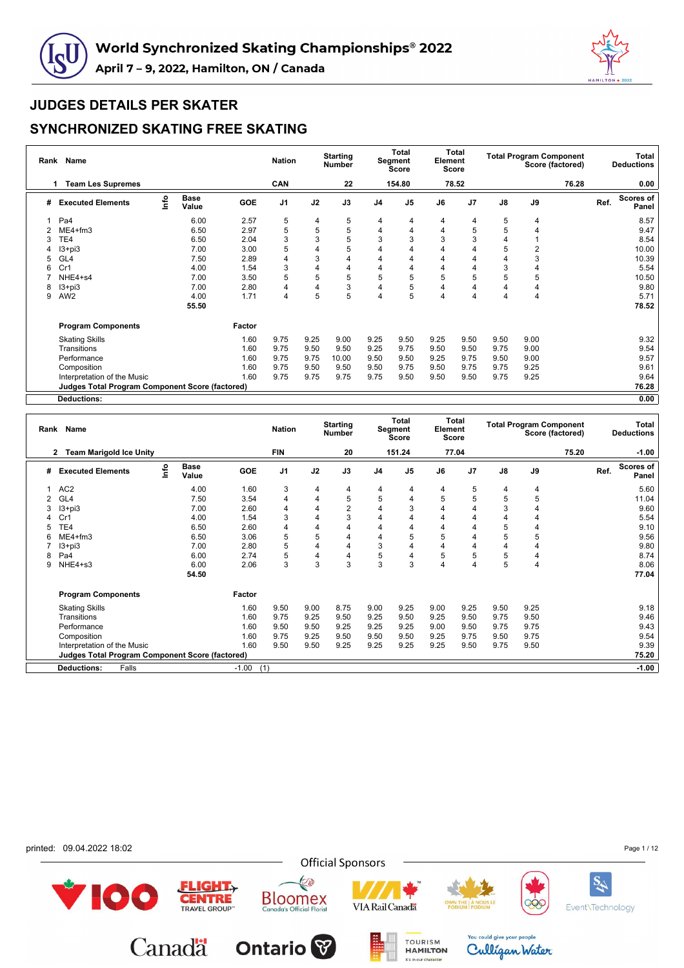



## **SYNCHRONIZED SKATING FREE SKATING**

|   | Rank Name                                              |      |                      |            | <b>Nation</b>  |      | <b>Starting</b><br><b>Number</b> |                | <b>Total</b><br>Segment<br>Score | Element | <b>Total</b><br>Score |      |                | <b>Total Program Component</b><br>Score (factored) |      | Total<br><b>Deductions</b> |
|---|--------------------------------------------------------|------|----------------------|------------|----------------|------|----------------------------------|----------------|----------------------------------|---------|-----------------------|------|----------------|----------------------------------------------------|------|----------------------------|
|   | <b>Team Les Supremes</b><br>1                          |      |                      |            | <b>CAN</b>     |      | 22                               |                | 154.80                           |         | 78.52                 |      |                | 76.28                                              |      | 0.00                       |
| # | <b>Executed Elements</b>                               | Info | <b>Base</b><br>Value | <b>GOE</b> | J <sub>1</sub> | J2   | J3                               | J <sub>4</sub> | J <sub>5</sub>                   | J6      | J <sub>7</sub>        | J8   | J9             |                                                    | Ref. | Scores of<br>Panel         |
| 1 | Pa <sub>4</sub>                                        |      | 6.00                 | 2.57       | 5              | 4    | 5                                | 4              | 4                                | 4       | 4                     | 5    | 4              |                                                    |      | 8.57                       |
|   | $ME4 + fm3$                                            |      | 6.50                 | 2.97       | 5              | 5    | 5                                | 4              | 4                                | 4       | 5                     | 5    | 4              |                                                    |      | 9.47                       |
|   | TE4                                                    |      | 6.50                 | 2.04       | 3              | 3    | 5                                | 3              | 3                                | 3       | 3                     | 4    |                |                                                    |      | 8.54                       |
|   | $13 + pi3$                                             |      | 7.00                 | 3.00       | 5              | 4    | 5                                | 4              |                                  | Δ       |                       | 5    | $\overline{2}$ |                                                    |      | 10.00                      |
|   | GL <sub>4</sub>                                        |      | 7.50                 | 2.89       | 4              | 3    | 4                                | 4              | 4                                | 4       | 4                     | 4    | 3              |                                                    |      | 10.39                      |
| 6 | Cr1                                                    |      | 4.00                 | 1.54       | 3              | 4    | 4                                | 4              | 4                                | 4       | 4                     | 3    | 4              |                                                    |      | 5.54                       |
|   | NHE4+s4                                                |      | 7.00                 | 3.50       | 5              | 5    | 5                                | 5              | 5                                | 5       | 5                     | 5    | 5              |                                                    |      | 10.50                      |
| 8 | $13 + pi3$                                             |      | 7.00                 | 2.80       | 4              | 4    | 3                                | 4              | 5                                | 4       | 4                     | 4    | 4              |                                                    |      | 9.80                       |
| 9 | AW <sub>2</sub>                                        |      | 4.00                 | 1.71       | 4              | 5    | 5                                | 4              | 5                                | 4       | 4                     | 4    | 4              |                                                    |      | 5.71                       |
|   |                                                        |      | 55.50                |            |                |      |                                  |                |                                  |         |                       |      |                |                                                    |      | 78.52                      |
|   | <b>Program Components</b>                              |      |                      | Factor     |                |      |                                  |                |                                  |         |                       |      |                |                                                    |      |                            |
|   | <b>Skating Skills</b>                                  |      |                      | 1.60       | 9.75           | 9.25 | 9.00                             | 9.25           | 9.50                             | 9.25    | 9.50                  | 9.50 | 9.00           |                                                    |      | 9.32                       |
|   | Transitions                                            |      |                      | 1.60       | 9.75           | 9.50 | 9.50                             | 9.25           | 9.75                             | 9.50    | 9.50                  | 9.75 | 9.00           |                                                    |      | 9.54                       |
|   | Performance                                            |      |                      | 1.60       | 9.75           | 9.75 | 10.00                            | 9.50           | 9.50                             | 9.25    | 9.75                  | 9.50 | 9.00           |                                                    |      | 9.57                       |
|   | Composition                                            |      |                      | 1.60       | 9.75           | 9.50 | 9.50                             | 9.50           | 9.75                             | 9.50    | 9.75                  | 9.75 | 9.25           |                                                    |      | 9.61                       |
|   | Interpretation of the Music                            |      |                      | 1.60       | 9.75           | 9.75 | 9.75                             | 9.75           | 9.50                             | 9.50    | 9.50                  | 9.75 | 9.25           |                                                    |      | 9.64                       |
|   | <b>Judges Total Program Component Score (factored)</b> |      |                      |            |                |      |                                  |                |                                  |         |                       |      |                |                                                    |      | 76.28                      |
|   | <b>Deductions:</b>                                     |      |                      |            |                |      |                                  |                |                                  |         |                       |      |                |                                                    |      | 0.00                       |

|   | Rank Name                                              |      |                      |         | <b>Nation</b>  |      | <b>Starting</b><br><b>Number</b> |                | Total<br>Segment<br><b>Score</b> | Element | <b>Total</b><br><b>Score</b> |               |                | <b>Total Program Component</b><br>Score (factored) |      | Total<br><b>Deductions</b> |
|---|--------------------------------------------------------|------|----------------------|---------|----------------|------|----------------------------------|----------------|----------------------------------|---------|------------------------------|---------------|----------------|----------------------------------------------------|------|----------------------------|
|   | <b>Team Marigold Ice Unity</b><br>2                    |      |                      |         | FIN            |      | 20                               |                | 151.24                           |         | 77.04                        |               |                | 75.20                                              |      | $-1.00$                    |
| # | <b>Executed Elements</b>                               | Info | <b>Base</b><br>Value | GOE     | J <sub>1</sub> | J2   | J3                               | J4             | J <sub>5</sub>                   | J6      | J <sub>7</sub>               | $\mathsf{J}8$ | J9             |                                                    | Ref. | Scores of<br>Panel         |
|   | AC <sub>2</sub>                                        |      | 4.00                 | 1.60    | 3              | 4    | 4                                | 4              | 4                                | 4       | 5                            | 4             | $\overline{4}$ |                                                    |      | 5.60                       |
|   | GL <sub>4</sub>                                        |      | 7.50                 | 3.54    | 4              | 4    | 5                                | 5              | 4                                | 5       | 5                            | 5             | 5              |                                                    |      | 11.04                      |
|   | $13 + pi3$                                             |      | 7.00                 | 2.60    | 4              | 4    | $\overline{2}$                   | $\overline{4}$ | 3                                |         | 4                            | 3             | 4              |                                                    |      | 9.60                       |
|   | Cr1                                                    |      | 4.00                 | 1.54    | 3              | 4    | 3                                | 4              | 4                                | 4       | 4                            | 4             | 4              |                                                    |      | 5.54                       |
|   | TE4                                                    |      | 6.50                 | 2.60    | 4              | 4    | $\overline{4}$                   | 4              | 4                                | 4       | 4                            | 5             | 4              |                                                    |      | 9.10                       |
| 6 | $ME4 + fm3$                                            |      | 6.50                 | 3.06    | 5              | 5    | 4                                | 4              | 5                                | 5       | 4                            | 5             | 5              |                                                    |      | 9.56                       |
|   | $13 + pi3$                                             |      | 7.00                 | 2.80    | 5              | 4    | $\overline{4}$                   | 3              | 4                                |         | 4                            | 4             | 4              |                                                    |      | 9.80                       |
| 8 | Pa4                                                    |      | 6.00                 | 2.74    | 5              | 4    | $\overline{4}$                   | 5              | 4                                | 5       | 5                            | 5             | 4              |                                                    |      | 8.74                       |
| 9 | NHE4+s3                                                |      | 6.00                 | 2.06    | 3              | 3    | 3                                | 3              | 3                                | 4       | 4                            | 5             | $\overline{4}$ |                                                    |      | 8.06                       |
|   |                                                        |      | 54.50                |         |                |      |                                  |                |                                  |         |                              |               |                |                                                    |      | 77.04                      |
|   | <b>Program Components</b>                              |      |                      | Factor  |                |      |                                  |                |                                  |         |                              |               |                |                                                    |      |                            |
|   | <b>Skating Skills</b>                                  |      |                      | 1.60    | 9.50           | 9.00 | 8.75                             | 9.00           | 9.25                             | 9.00    | 9.25                         | 9.50          | 9.25           |                                                    |      | 9.18                       |
|   | Transitions                                            |      |                      | 1.60    | 9.75           | 9.25 | 9.50                             | 9.25           | 9.50                             | 9.25    | 9.50                         | 9.75          | 9.50           |                                                    |      | 9.46                       |
|   | Performance                                            |      |                      | 1.60    | 9.50           | 9.50 | 9.25                             | 9.25           | 9.25                             | 9.00    | 9.50                         | 9.75          | 9.75           |                                                    |      | 9.43                       |
|   | Composition                                            |      |                      | 1.60    | 9.75           | 9.25 | 9.50                             | 9.50           | 9.50                             | 9.25    | 9.75                         | 9.50          | 9.75           |                                                    |      | 9.54                       |
|   | Interpretation of the Music                            |      |                      | 1.60    | 9.50           | 9.50 | 9.25                             | 9.25           | 9.25                             | 9.25    | 9.50                         | 9.75          | 9.50           |                                                    |      | 9.39                       |
|   | <b>Judges Total Program Component Score (factored)</b> |      |                      |         |                |      |                                  |                |                                  |         |                              |               |                |                                                    |      | 75.20                      |
|   | Deductions:<br>Falls                                   |      |                      | $-1.00$ | (1)            |      |                                  |                |                                  |         |                              |               |                |                                                    |      | $-1.00$                    |

printed: 09.04.2022 18:02 Page 1 / 12**Official Sponsors** E **SA** 100  $ELIGHT<sub>Y</sub>$ **CENTRE Bloomex**<br>Canada's Official Florist **VIA Rail Canada** QÇ Event\Technology You could give your people Canadä **Ontario** TOURISM Culligan Water

It's in our character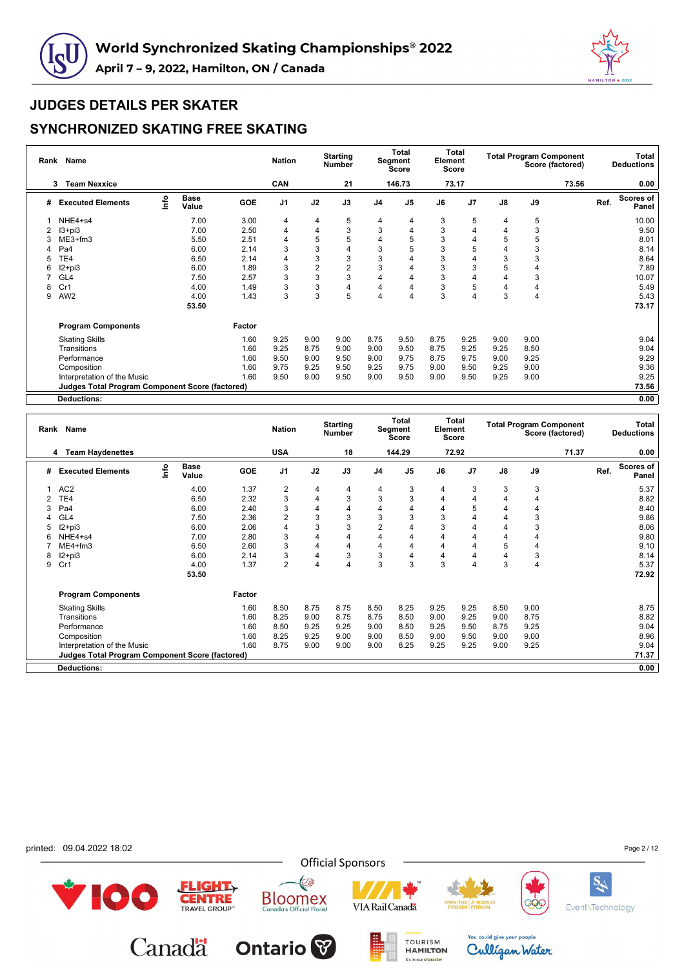



|   | Rank Name                                              |                                  |                      |        | <b>Nation</b>  |                | <b>Starting</b><br><b>Number</b> |                | <b>Total</b><br>Segment<br><b>Score</b> | Element | <b>Total</b><br><b>Score</b> |      | <b>Total Program Component</b> | Score (factored) |      | Total<br><b>Deductions</b> |
|---|--------------------------------------------------------|----------------------------------|----------------------|--------|----------------|----------------|----------------------------------|----------------|-----------------------------------------|---------|------------------------------|------|--------------------------------|------------------|------|----------------------------|
|   | <b>Team Nexxice</b><br>3                               |                                  |                      |        | CAN            |                | 21                               |                | 146.73                                  |         | 73.17                        |      |                                | 73.56            |      | 0.00                       |
| # | <b>Executed Elements</b>                               | $\mathop{\mathsf{Irr}}\nolimits$ | <b>Base</b><br>Value | GOE    | J <sub>1</sub> | J2             | J3                               | J <sub>4</sub> | J <sub>5</sub>                          | J6      | J <sub>7</sub>               | J8   | J9                             |                  | Ref. | <b>Scores of</b><br>Panel  |
|   | NHE4+s4                                                |                                  | 7.00                 | 3.00   | 4              | 4              | 5                                | 4              | 4                                       | 3       | 5                            | 4    | 5                              |                  |      | 10.00                      |
| 2 | $13 + pi3$                                             |                                  | 7.00                 | 2.50   | 4              | 4              | 3                                | 3              | 4                                       | 3       | 4                            | 4    | 3                              |                  |      | 9.50                       |
|   | ME3+fm3                                                |                                  | 5.50                 | 2.51   | 4              | 5              | 5                                | 4              | 5                                       | 3       | 4                            | 5    | 5                              |                  |      | 8.01                       |
|   | Pa4                                                    |                                  | 6.00                 | 2.14   | 3              | 3              | 4                                | 3              | 5                                       | 3       | 5                            |      | 3                              |                  |      | 8.14                       |
| 5 | TE4                                                    |                                  | 6.50                 | 2.14   | 4              | 3              | 3                                | 3              |                                         | 3       | 4                            | 3    | 3                              |                  |      | 8.64                       |
| 6 | $12 + pi3$                                             |                                  | 6.00                 | 1.89   | 3              | $\overline{2}$ | $\overline{c}$                   | 3              |                                         | 3       | 3                            | 5    | 4                              |                  |      | 7.89                       |
|   | GL <sub>4</sub>                                        |                                  | 7.50                 | 2.57   | 3              | 3              | 3                                | 4              | 4                                       | 3       | 4                            |      | 3                              |                  |      | 10.07                      |
| 8 | Cr1                                                    |                                  | 4.00                 | 1.49   | 3              | 3              | 4                                | 4              | 4                                       | 3       | 5                            | 4    | 4                              |                  |      | 5.49                       |
| 9 | AW <sub>2</sub>                                        |                                  | 4.00                 | 1.43   | 3              | 3              | 5                                | 4              | 4                                       | 3       | 4                            | 3    | 4                              |                  |      | 5.43                       |
|   |                                                        |                                  | 53.50                |        |                |                |                                  |                |                                         |         |                              |      |                                |                  |      | 73.17                      |
|   | <b>Program Components</b>                              |                                  |                      | Factor |                |                |                                  |                |                                         |         |                              |      |                                |                  |      |                            |
|   | <b>Skating Skills</b>                                  |                                  |                      | 1.60   | 9.25           | 9.00           | 9.00                             | 8.75           | 9.50                                    | 8.75    | 9.25                         | 9.00 | 9.00                           |                  |      | 9.04                       |
|   | Transitions                                            |                                  |                      | 1.60   | 9.25           | 8.75           | 9.00                             | 9.00           | 9.50                                    | 8.75    | 9.25                         | 9.25 | 8.50                           |                  |      | 9.04                       |
|   | Performance                                            |                                  |                      | 1.60   | 9.50           | 9.00           | 9.50                             | 9.00           | 9.75                                    | 8.75    | 9.75                         | 9.00 | 9.25                           |                  |      | 9.29                       |
|   | Composition                                            |                                  |                      | 1.60   | 9.75           | 9.25           | 9.50                             | 9.25           | 9.75                                    | 9.00    | 9.50                         | 9.25 | 9.00                           |                  |      | 9.36                       |
|   | Interpretation of the Music                            |                                  |                      | 1.60   | 9.50           | 9.00           | 9.50                             | 9.00           | 9.50                                    | 9.00    | 9.50                         | 9.25 | 9.00                           |                  |      | 9.25                       |
|   | <b>Judges Total Program Component Score (factored)</b> |                                  |                      |        |                |                |                                  |                |                                         |         |                              |      |                                |                  |      | 73.56                      |
|   | <b>Deductions:</b>                                     |                                  |                      |        |                |                |                                  |                |                                         |         |                              |      |                                |                  |      | 0.00                       |

| 144.29<br>72.92<br>71.37<br><b>USA</b><br>18<br>0.00<br><b>Team Haydenettes</b><br>4<br>Scores of<br>lnfo<br><b>Base</b><br>J9<br>J2<br>J3<br>$\mathsf{J}8$<br>Ref.<br><b>GOE</b><br>J1<br>J <sub>5</sub><br>J7<br>J4<br>J6<br><b>Executed Elements</b><br>#<br>Value<br>Panel<br>AC <sub>2</sub><br>$\overline{2}$<br>3<br>3<br>3<br>5.37<br>4.00<br>1.37<br>3<br>4<br>$\overline{4}$<br>4<br>4<br>3<br>3<br>3<br>2.32<br>3<br>TE4<br>6.50<br>4<br>8.82<br>4<br>4<br>4<br>4<br>3<br>8.40<br>6.00<br>2.40<br>4<br>4<br>4<br>5<br>Pa4<br>$\overline{4}$<br>4<br>4<br>3<br>3<br>3<br>3<br>2<br>3<br>3<br>9.86<br>2.36<br>GL <sub>4</sub><br>7.50<br>4<br>4<br>3<br>3<br>$\overline{2}$<br>3<br>8.06<br>$12+pi3$<br>6.00<br>2.06<br>4<br>4<br>3<br>4<br>4<br>NHE4+s4<br>7.00<br>2.80<br>3<br>$\overline{4}$<br>9.80<br>4<br>4<br>4<br>4<br>4<br>$\overline{4}$<br>9.10<br>$ME4 + fm3$<br>6.50<br>2.60<br>3<br>4<br>5<br>4<br>4<br>4<br>3<br>3<br>3<br>3<br>4<br>8.14<br>$12+pi3$<br>6.00<br>2.14<br>4<br>4<br>8<br>4<br>4<br>$\overline{2}$<br>3<br>3<br>3<br>$\overline{4}$<br>Cr1<br>1.37<br>5.37<br>4.00<br>4<br>$\overline{4}$<br>3<br>9<br>4<br>72.92<br>53.50<br><b>Program Components</b><br>Factor<br>8.75<br>8.75<br>8.25<br>9.25<br>8.50<br>9.00<br>8.75<br><b>Skating Skills</b><br>1.60<br>8.50<br>8.50<br>9.25<br>8.75<br>8.82<br>1.60<br>8.25<br>9.00<br>9.25<br>9.00<br>Transitions<br>8.75<br>8.75<br>8.50<br>9.00<br>9.04<br>8.50<br>9.50<br>8.75<br>9.25<br>1.60<br>9.25<br>9.25<br>Performance<br>9.25<br>9.00<br>8.50<br>8.96<br>1.60<br>8.25<br>9.00<br>Composition<br>9.25<br>9.00<br>9.00<br>9.00<br>9.50<br>9.00<br>8.50<br>8.75<br>9.04<br>1.60<br>9.00<br>8.25<br>9.25<br>9.25<br>9.00<br>9.25<br>9.00<br>9.00<br>Interpretation of the Music<br>Judges Total Program Component Score (factored)<br>71.37<br>0.00<br><b>Deductions:</b> | Rank Name |  | <b>Nation</b> | <b>Starting</b><br><b>Number</b> | Total<br>Segment<br><b>Score</b> | Element | <b>Total</b><br><b>Score</b> |  | <b>Total Program Component</b><br>Score (factored) | Total<br><b>Deductions</b> |
|----------------------------------------------------------------------------------------------------------------------------------------------------------------------------------------------------------------------------------------------------------------------------------------------------------------------------------------------------------------------------------------------------------------------------------------------------------------------------------------------------------------------------------------------------------------------------------------------------------------------------------------------------------------------------------------------------------------------------------------------------------------------------------------------------------------------------------------------------------------------------------------------------------------------------------------------------------------------------------------------------------------------------------------------------------------------------------------------------------------------------------------------------------------------------------------------------------------------------------------------------------------------------------------------------------------------------------------------------------------------------------------------------------------------------------------------------------------------------------------------------------------------------------------------------------------------------------------------------------------------------------------------------------------------------------------------------------------------------------------------------------------------------------------------------------------------------------------------------------------|-----------|--|---------------|----------------------------------|----------------------------------|---------|------------------------------|--|----------------------------------------------------|----------------------------|
|                                                                                                                                                                                                                                                                                                                                                                                                                                                                                                                                                                                                                                                                                                                                                                                                                                                                                                                                                                                                                                                                                                                                                                                                                                                                                                                                                                                                                                                                                                                                                                                                                                                                                                                                                                                                                                                                |           |  |               |                                  |                                  |         |                              |  |                                                    |                            |
|                                                                                                                                                                                                                                                                                                                                                                                                                                                                                                                                                                                                                                                                                                                                                                                                                                                                                                                                                                                                                                                                                                                                                                                                                                                                                                                                                                                                                                                                                                                                                                                                                                                                                                                                                                                                                                                                |           |  |               |                                  |                                  |         |                              |  |                                                    |                            |
|                                                                                                                                                                                                                                                                                                                                                                                                                                                                                                                                                                                                                                                                                                                                                                                                                                                                                                                                                                                                                                                                                                                                                                                                                                                                                                                                                                                                                                                                                                                                                                                                                                                                                                                                                                                                                                                                |           |  |               |                                  |                                  |         |                              |  |                                                    |                            |
|                                                                                                                                                                                                                                                                                                                                                                                                                                                                                                                                                                                                                                                                                                                                                                                                                                                                                                                                                                                                                                                                                                                                                                                                                                                                                                                                                                                                                                                                                                                                                                                                                                                                                                                                                                                                                                                                |           |  |               |                                  |                                  |         |                              |  |                                                    |                            |
|                                                                                                                                                                                                                                                                                                                                                                                                                                                                                                                                                                                                                                                                                                                                                                                                                                                                                                                                                                                                                                                                                                                                                                                                                                                                                                                                                                                                                                                                                                                                                                                                                                                                                                                                                                                                                                                                |           |  |               |                                  |                                  |         |                              |  |                                                    |                            |
|                                                                                                                                                                                                                                                                                                                                                                                                                                                                                                                                                                                                                                                                                                                                                                                                                                                                                                                                                                                                                                                                                                                                                                                                                                                                                                                                                                                                                                                                                                                                                                                                                                                                                                                                                                                                                                                                |           |  |               |                                  |                                  |         |                              |  |                                                    |                            |
|                                                                                                                                                                                                                                                                                                                                                                                                                                                                                                                                                                                                                                                                                                                                                                                                                                                                                                                                                                                                                                                                                                                                                                                                                                                                                                                                                                                                                                                                                                                                                                                                                                                                                                                                                                                                                                                                |           |  |               |                                  |                                  |         |                              |  |                                                    |                            |
|                                                                                                                                                                                                                                                                                                                                                                                                                                                                                                                                                                                                                                                                                                                                                                                                                                                                                                                                                                                                                                                                                                                                                                                                                                                                                                                                                                                                                                                                                                                                                                                                                                                                                                                                                                                                                                                                |           |  |               |                                  |                                  |         |                              |  |                                                    |                            |
|                                                                                                                                                                                                                                                                                                                                                                                                                                                                                                                                                                                                                                                                                                                                                                                                                                                                                                                                                                                                                                                                                                                                                                                                                                                                                                                                                                                                                                                                                                                                                                                                                                                                                                                                                                                                                                                                |           |  |               |                                  |                                  |         |                              |  |                                                    |                            |
|                                                                                                                                                                                                                                                                                                                                                                                                                                                                                                                                                                                                                                                                                                                                                                                                                                                                                                                                                                                                                                                                                                                                                                                                                                                                                                                                                                                                                                                                                                                                                                                                                                                                                                                                                                                                                                                                |           |  |               |                                  |                                  |         |                              |  |                                                    |                            |
|                                                                                                                                                                                                                                                                                                                                                                                                                                                                                                                                                                                                                                                                                                                                                                                                                                                                                                                                                                                                                                                                                                                                                                                                                                                                                                                                                                                                                                                                                                                                                                                                                                                                                                                                                                                                                                                                |           |  |               |                                  |                                  |         |                              |  |                                                    |                            |
|                                                                                                                                                                                                                                                                                                                                                                                                                                                                                                                                                                                                                                                                                                                                                                                                                                                                                                                                                                                                                                                                                                                                                                                                                                                                                                                                                                                                                                                                                                                                                                                                                                                                                                                                                                                                                                                                |           |  |               |                                  |                                  |         |                              |  |                                                    |                            |
|                                                                                                                                                                                                                                                                                                                                                                                                                                                                                                                                                                                                                                                                                                                                                                                                                                                                                                                                                                                                                                                                                                                                                                                                                                                                                                                                                                                                                                                                                                                                                                                                                                                                                                                                                                                                                                                                |           |  |               |                                  |                                  |         |                              |  |                                                    |                            |
|                                                                                                                                                                                                                                                                                                                                                                                                                                                                                                                                                                                                                                                                                                                                                                                                                                                                                                                                                                                                                                                                                                                                                                                                                                                                                                                                                                                                                                                                                                                                                                                                                                                                                                                                                                                                                                                                |           |  |               |                                  |                                  |         |                              |  |                                                    |                            |
|                                                                                                                                                                                                                                                                                                                                                                                                                                                                                                                                                                                                                                                                                                                                                                                                                                                                                                                                                                                                                                                                                                                                                                                                                                                                                                                                                                                                                                                                                                                                                                                                                                                                                                                                                                                                                                                                |           |  |               |                                  |                                  |         |                              |  |                                                    |                            |
|                                                                                                                                                                                                                                                                                                                                                                                                                                                                                                                                                                                                                                                                                                                                                                                                                                                                                                                                                                                                                                                                                                                                                                                                                                                                                                                                                                                                                                                                                                                                                                                                                                                                                                                                                                                                                                                                |           |  |               |                                  |                                  |         |                              |  |                                                    |                            |
|                                                                                                                                                                                                                                                                                                                                                                                                                                                                                                                                                                                                                                                                                                                                                                                                                                                                                                                                                                                                                                                                                                                                                                                                                                                                                                                                                                                                                                                                                                                                                                                                                                                                                                                                                                                                                                                                |           |  |               |                                  |                                  |         |                              |  |                                                    |                            |
|                                                                                                                                                                                                                                                                                                                                                                                                                                                                                                                                                                                                                                                                                                                                                                                                                                                                                                                                                                                                                                                                                                                                                                                                                                                                                                                                                                                                                                                                                                                                                                                                                                                                                                                                                                                                                                                                |           |  |               |                                  |                                  |         |                              |  |                                                    |                            |
|                                                                                                                                                                                                                                                                                                                                                                                                                                                                                                                                                                                                                                                                                                                                                                                                                                                                                                                                                                                                                                                                                                                                                                                                                                                                                                                                                                                                                                                                                                                                                                                                                                                                                                                                                                                                                                                                |           |  |               |                                  |                                  |         |                              |  |                                                    |                            |
|                                                                                                                                                                                                                                                                                                                                                                                                                                                                                                                                                                                                                                                                                                                                                                                                                                                                                                                                                                                                                                                                                                                                                                                                                                                                                                                                                                                                                                                                                                                                                                                                                                                                                                                                                                                                                                                                |           |  |               |                                  |                                  |         |                              |  |                                                    |                            |

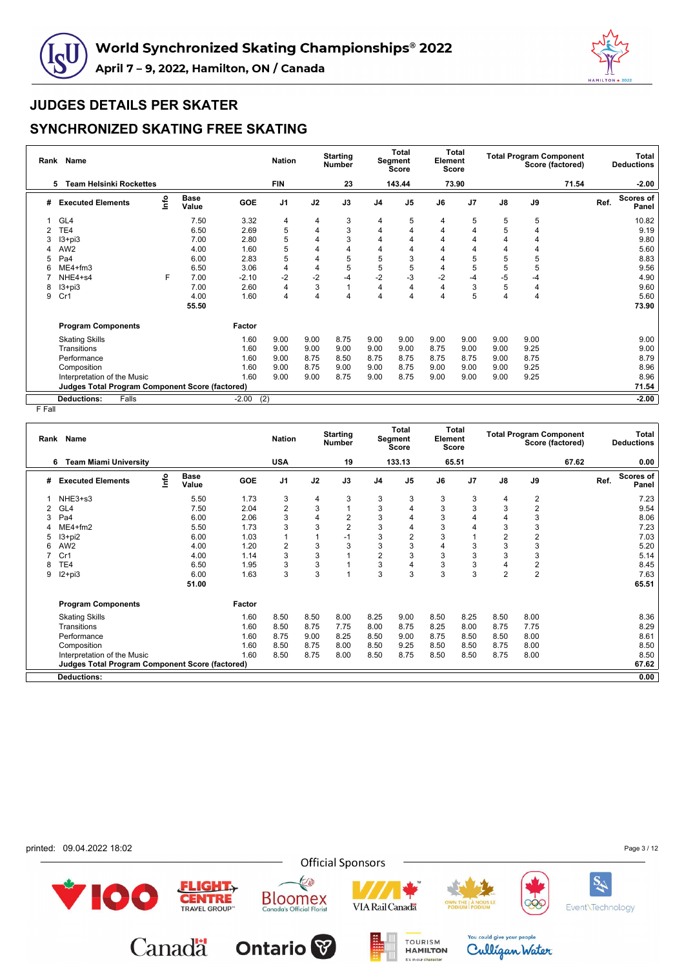



## **SYNCHRONIZED SKATING FREE SKATING**

| Rank | <b>Name</b>                                            |      |                      |                | <b>Nation</b>  |                | <b>Starting</b><br>Number |                | <b>Total</b><br>Segment<br>Score | Element | Total<br>Score |      | <b>Total Program Component</b> | Score (factored) |      | Total<br><b>Deductions</b> |
|------|--------------------------------------------------------|------|----------------------|----------------|----------------|----------------|---------------------------|----------------|----------------------------------|---------|----------------|------|--------------------------------|------------------|------|----------------------------|
|      | <b>Team Helsinki Rockettes</b><br>5                    |      |                      |                | <b>FIN</b>     |                | 23                        |                | 143.44                           |         | 73.90          |      |                                | 71.54            |      | $-2.00$                    |
| #    | <b>Executed Elements</b>                               | lnfo | <b>Base</b><br>Value | <b>GOE</b>     | J <sub>1</sub> | J2             | J3                        | J <sub>4</sub> | J <sub>5</sub>                   | J6      | J <sub>7</sub> | J8   | J9                             |                  | Ref. | <b>Scores of</b><br>Panel  |
|      | GL4                                                    |      | 7.50                 | 3.32           | 4              | 4              | 3                         | 4              | 5                                | 4       | 5              | 5    | 5                              |                  |      | 10.82                      |
|      | TE4                                                    |      | 6.50                 | 2.69           | 5              | $\overline{4}$ | 3                         | 4              |                                  | 4       |                | 5    | 4                              |                  |      | 9.19                       |
|      | $13 + pi3$                                             |      | 7.00                 | 2.80           | 5              | 4              | 3                         | 4              |                                  |         |                | 4    | 4                              |                  |      | 9.80                       |
|      | AW <sub>2</sub>                                        |      | 4.00                 | 1.60           | 5              | 4              | 4                         | 4              |                                  |         |                | 4    | 4                              |                  |      | 5.60                       |
| 5    | Pa <sub>4</sub>                                        |      | 6.00                 | 2.83           | 5              | 4              | 5                         | 5              | 3                                |         | 5              | 5    | 5                              |                  |      | 8.83                       |
| 6    | ME4+fm3                                                |      | 6.50                 | 3.06           | 4              | 4              | 5                         | 5              | 5                                | 4       | 5              | 5    | 5                              |                  |      | 9.56                       |
|      | NHE4+s4                                                | F    | 7.00                 | $-2.10$        | $-2$           | $-2$           | $-4$                      | $-2$           | $-3$                             | $-2$    | $-4$           | $-5$ | -4                             |                  |      | 4.90                       |
| 8    | $13 + pi3$                                             |      | 7.00                 | 2.60           | 4              | 3              |                           | $\overline{4}$ | 4                                | 4       | 3              | 5    | 4                              |                  |      | 9.60                       |
| 9    | Cr1                                                    |      | 4.00                 | 1.60           | 4              | 4              | 4                         | 4              | 4                                |         | 5              | 4    | 4                              |                  |      | 5.60                       |
|      |                                                        |      | 55.50                |                |                |                |                           |                |                                  |         |                |      |                                |                  |      | 73.90                      |
|      | <b>Program Components</b>                              |      |                      | Factor         |                |                |                           |                |                                  |         |                |      |                                |                  |      |                            |
|      | <b>Skating Skills</b>                                  |      |                      | 1.60           | 9.00           | 9.00           | 8.75                      | 9.00           | 9.00                             | 9.00    | 9.00           | 9.00 | 9.00                           |                  |      | 9.00                       |
|      | Transitions                                            |      |                      | 1.60           | 9.00           | 9.00           | 9.00                      | 9.00           | 9.00                             | 8.75    | 9.00           | 9.00 | 9.25                           |                  |      | 9.00                       |
|      | Performance                                            |      |                      | 1.60           | 9.00           | 8.75           | 8.50                      | 8.75           | 8.75                             | 8.75    | 8.75           | 9.00 | 8.75                           |                  |      | 8.79                       |
|      | Composition                                            |      |                      | 1.60           | 9.00           | 8.75           | 9.00                      | 9.00           | 8.75                             | 9.00    | 9.00           | 9.00 | 9.25                           |                  |      | 8.96                       |
|      | Interpretation of the Music                            |      |                      | 1.60           | 9.00           | 9.00           | 8.75                      | 9.00           | 8.75                             | 9.00    | 9.00           | 9.00 | 9.25                           |                  |      | 8.96                       |
|      | <b>Judges Total Program Component Score (factored)</b> |      |                      |                |                |                |                           |                |                                  |         |                |      |                                |                  |      | 71.54                      |
|      | <b>Deductions:</b><br>Falls                            |      |                      | (2)<br>$-2.00$ |                |                |                           |                |                                  |         |                |      |                                |                  |      | $-2.00$                    |

| Rank | Name                                            |      |                      |            | <b>Nation</b>  |      | <b>Starting</b><br><b>Number</b> |                | Total<br>Segment<br><b>Score</b> | Element        | Total<br>Score |                |                         | <b>Total Program Component</b><br>Score (factored) |      | Total<br><b>Deductions</b> |
|------|-------------------------------------------------|------|----------------------|------------|----------------|------|----------------------------------|----------------|----------------------------------|----------------|----------------|----------------|-------------------------|----------------------------------------------------|------|----------------------------|
|      | <b>Team Miami University</b><br>6               |      |                      |            | <b>USA</b>     |      | 19                               |                | 133.13                           |                | 65.51          |                |                         | 67.62                                              |      | 0.00                       |
| #    | <b>Executed Elements</b>                        | lnfo | <b>Base</b><br>Value | <b>GOE</b> | J <sub>1</sub> | J2   | J3                               | J <sub>4</sub> | J <sub>5</sub>                   | J6             | J <sub>7</sub> | J8             | J9                      |                                                    | Ref. | <b>Scores of</b><br>Panel  |
|      | $NHE3+s3$                                       |      | 5.50                 | 1.73       | 3              | 4    | 3                                | 3              | 3                                | 3              | 3              | 4              | $\overline{c}$          |                                                    |      | 7.23                       |
|      | GL <sub>4</sub>                                 |      | 7.50                 | 2.04       | $\overline{2}$ | 3    |                                  | 3              |                                  | 3              | 3              | 3              | $\overline{2}$          |                                                    |      | 9.54                       |
|      | Pa <sub>4</sub>                                 |      | 6.00                 | 2.06       | 3              | 4    | $\overline{2}$                   | 3              | 4                                | 3              |                | $\overline{4}$ | 3                       |                                                    |      | 8.06                       |
|      | ME4+fm2                                         |      | 5.50                 | 1.73       | 3              | 3    | $\overline{2}$                   | 3              | 4                                | 3              |                | 3              | 3                       |                                                    |      | 7.23                       |
| 5    | $13 + pi2$                                      |      | 6.00                 | 1.03       | 1              |      | $-1$                             | 3              | 2                                | 3              |                | $\overline{2}$ | $\overline{c}$          |                                                    |      | 7.03                       |
|      | AW <sub>2</sub>                                 |      | 4.00                 | 1.20       | $\overline{2}$ | 3    | 3                                | 3              | 3                                | $\overline{4}$ | 3              | 3              | 3                       |                                                    |      | 5.20                       |
|      | Cr1                                             |      | 4.00                 | 1.14       | 3              | 3    |                                  | $\overline{2}$ | 3                                | 3              | 3              | 3              | 3                       |                                                    |      | 5.14                       |
|      | TE4                                             |      | 6.50                 | 1.95       | 3              | 3    |                                  | 3              |                                  | 3              | 3              | 4              | $\overline{\mathbf{c}}$ |                                                    |      | 8.45                       |
| 9    | $12+pi3$                                        |      | 6.00                 | 1.63       | 3              | 3    |                                  | 3              | 3                                | 3              | 3              | $\overline{2}$ | $\overline{2}$          |                                                    |      | 7.63                       |
|      |                                                 |      | 51.00                |            |                |      |                                  |                |                                  |                |                |                |                         |                                                    |      | 65.51                      |
|      | <b>Program Components</b>                       |      |                      | Factor     |                |      |                                  |                |                                  |                |                |                |                         |                                                    |      |                            |
|      | <b>Skating Skills</b>                           |      |                      | 1.60       | 8.50           | 8.50 | 8.00                             | 8.25           | 9.00                             | 8.50           | 8.25           | 8.50           | 8.00                    |                                                    |      | 8.36                       |
|      | Transitions                                     |      |                      | 1.60       | 8.50           | 8.75 | 7.75                             | 8.00           | 8.75                             | 8.25           | 8.00           | 8.75           | 7.75                    |                                                    |      | 8.29                       |
|      | Performance                                     |      |                      | 1.60       | 8.75           | 9.00 | 8.25                             | 8.50           | 9.00                             | 8.75           | 8.50           | 8.50           | 8.00                    |                                                    |      | 8.61                       |
|      | Composition                                     |      |                      | 1.60       | 8.50           | 8.75 | 8.00                             | 8.50           | 9.25                             | 8.50           | 8.50           | 8.75           | 8.00                    |                                                    |      | 8.50                       |
|      | Interpretation of the Music                     |      |                      | 1.60       | 8.50           | 8.75 | 8.00                             | 8.50           | 8.75                             | 8.50           | 8.50           | 8.75           | 8.00                    |                                                    |      | 8.50                       |
|      | Judges Total Program Component Score (factored) |      |                      |            |                |      |                                  |                |                                  |                |                |                |                         |                                                    |      | 67.62                      |
|      | <b>Deductions:</b>                              |      |                      |            |                |      |                                  |                |                                  |                |                |                |                         |                                                    |      | 0.00                       |
|      |                                                 |      |                      |            |                |      |                                  |                |                                  |                |                |                |                         |                                                    |      |                            |

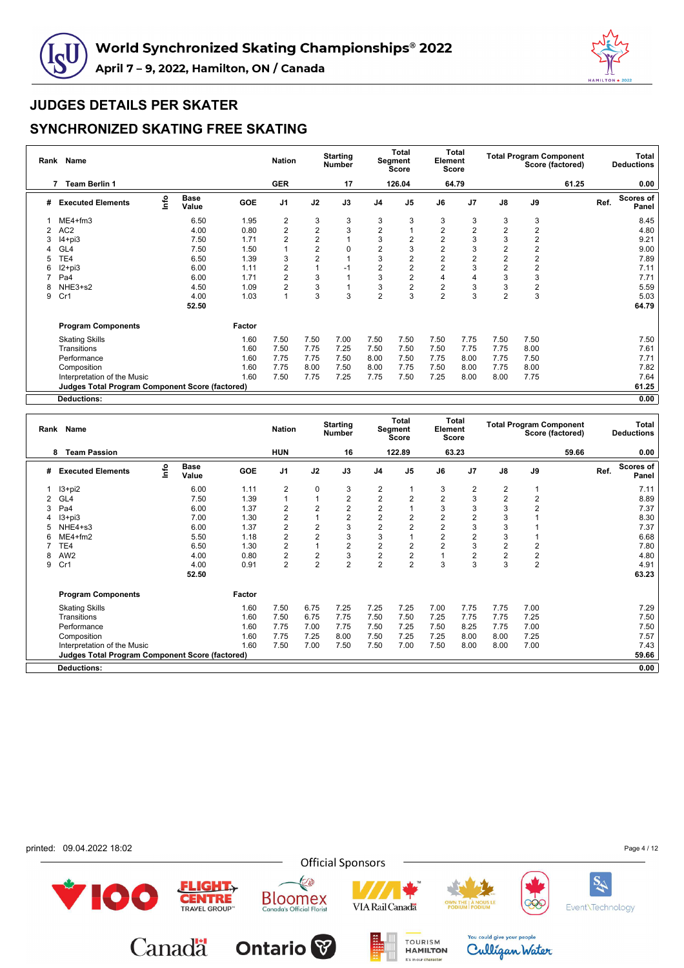



|                | Rank Name                                              |                           |                      |            | <b>Nation</b>  |                | <b>Starting</b><br><b>Number</b> |                | <b>Total</b><br>Segment<br><b>Score</b> | Element        | <b>Total</b><br><b>Score</b> |                |      | <b>Total Program Component</b><br>Score (factored) |      | Total<br><b>Deductions</b> |
|----------------|--------------------------------------------------------|---------------------------|----------------------|------------|----------------|----------------|----------------------------------|----------------|-----------------------------------------|----------------|------------------------------|----------------|------|----------------------------------------------------|------|----------------------------|
|                | <b>Team Berlin 1</b><br>7                              |                           |                      |            | <b>GER</b>     |                | 17                               |                | 126.04                                  |                | 64.79                        |                |      | 61.25                                              |      | 0.00                       |
| #              | <b>Executed Elements</b>                               | $\mathsf{Int} \mathsf{o}$ | <b>Base</b><br>Value | <b>GOE</b> | J <sub>1</sub> | J2             | J3                               | J <sub>4</sub> | J <sub>5</sub>                          | J6             | J7                           | $\mathsf{J}8$  | J9   |                                                    | Ref. | <b>Scores of</b><br>Panel  |
|                | $ME4 + fm3$                                            |                           | 6.50                 | 1.95       | 2              | 3              | 3                                | 3              | 3                                       | 3              | 3                            | 3              | 3    |                                                    |      | 8.45                       |
| $\overline{2}$ | AC <sub>2</sub>                                        |                           | 4.00                 | 0.80       | $\overline{2}$ | $\overline{2}$ | 3                                | $\overline{c}$ |                                         | $\overline{2}$ | $\overline{2}$               | $\overline{2}$ | 2    |                                                    |      | 4.80                       |
|                | $I4 + pi3$                                             |                           | 7.50                 | 1.71       | $\overline{2}$ | $\overline{2}$ |                                  | 3              | 2                                       | $\overline{2}$ | 3                            | 3              | 2    |                                                    |      | 9.21                       |
|                | GL4                                                    |                           | 7.50                 | 1.50       |                | 2              | $\Omega$                         | 2              | 3                                       | $\overline{2}$ | 3                            | $\overline{2}$ | 2    |                                                    |      | 9.00                       |
|                | TE4                                                    |                           | 6.50                 | 1.39       | 3              | $\overline{2}$ |                                  | 3              | 2                                       | $\overline{2}$ | $\overline{2}$               | $\overline{2}$ | 2    |                                                    |      | 7.89                       |
| 6              | $12 + pi3$                                             |                           | 6.00                 | 1.11       | $\overline{2}$ |                | $-1$                             | $\overline{2}$ | 2                                       | $\overline{2}$ | 3                            | $\overline{2}$ | 2    |                                                    |      | 7.11                       |
|                | Pa4                                                    |                           | 6.00                 | 1.71       | $\overline{2}$ | 3              |                                  | 3              | 2                                       | $\overline{4}$ | 4                            | 3              | 3    |                                                    |      | 7.71                       |
| 8              | NHE3+s2                                                |                           | 4.50                 | 1.09       | $\overline{2}$ | 3              |                                  | 3              | 2                                       | $\overline{2}$ | 3                            | 3              | 2    |                                                    |      | 5.59                       |
| 9              | Cr1                                                    |                           | 4.00                 | 1.03       | 1              | 3              | 3                                | $\overline{2}$ | 3                                       | $\overline{2}$ | 3                            | $\overline{2}$ | 3    |                                                    |      | 5.03                       |
|                |                                                        |                           | 52.50                |            |                |                |                                  |                |                                         |                |                              |                |      |                                                    |      | 64.79                      |
|                | <b>Program Components</b>                              |                           |                      | Factor     |                |                |                                  |                |                                         |                |                              |                |      |                                                    |      |                            |
|                | <b>Skating Skills</b>                                  |                           |                      | 1.60       | 7.50           | 7.50           | 7.00                             | 7.50           | 7.50                                    | 7.50           | 7.75                         | 7.50           | 7.50 |                                                    |      | 7.50                       |
|                | Transitions                                            |                           |                      | 1.60       | 7.50           | 7.75           | 7.25                             | 7.50           | 7.50                                    | 7.50           | 7.75                         | 7.75           | 8.00 |                                                    |      | 7.61                       |
|                | Performance                                            |                           |                      | 1.60       | 7.75           | 7.75           | 7.50                             | 8.00           | 7.50                                    | 7.75           | 8.00                         | 7.75           | 7.50 |                                                    |      | 7.71                       |
|                | Composition                                            |                           |                      | 1.60       | 7.75           | 8.00           | 7.50                             | 8.00           | 7.75                                    | 7.50           | 8.00                         | 7.75           | 8.00 |                                                    |      | 7.82                       |
|                | Interpretation of the Music                            |                           |                      | 1.60       | 7.50           | 7.75           | 7.25                             | 7.75           | 7.50                                    | 7.25           | 8.00                         | 8.00           | 7.75 |                                                    |      | 7.64                       |
|                | <b>Judges Total Program Component Score (factored)</b> |                           |                      |            |                |                |                                  |                |                                         |                |                              |                |      |                                                    |      | 61.25                      |
|                | <b>Deductions:</b>                                     |                           |                      |            |                |                |                                  |                |                                         |                |                              |                |      |                                                    |      | 0.00                       |

|                                                                                                                                                             | 0.00                       |
|-------------------------------------------------------------------------------------------------------------------------------------------------------------|----------------------------|
| 122.89<br>63.23<br><b>HUN</b><br>16<br>59.66<br><b>Team Passion</b><br>8                                                                                    |                            |
| lnfo<br><b>Base</b><br>J9<br>J2<br>J3<br>$\mathsf{J}8$<br><b>GOE</b><br>J1<br>J <sub>5</sub><br>J7<br>J4<br>J6<br><b>Executed Elements</b><br>#<br>Value    | Scores of<br>Ref.<br>Panel |
| 3<br>$\overline{2}$<br>$\mathbf 0$<br>2<br>2<br>$\overline{2}$<br>$13 + pi2$<br>6.00<br>3<br>1.11                                                           | 7.11                       |
| $\overline{2}$<br>$\overline{2}$<br>$\overline{2}$<br>3<br>$\overline{2}$<br>1.39<br>2<br>$\overline{2}$<br>GL <sub>4</sub><br>7.50                         | 8.89                       |
| $\overline{2}$<br>$\overline{2}$<br>2<br>2<br>3<br>3<br>3<br>$\overline{2}$<br>6.00<br>1.37<br>Pa4<br>3                                                     | 7.37                       |
| $\overline{c}$<br>$\overline{c}$<br>2<br>3<br>2<br>$\overline{2}$<br>$13 + pi3$<br>7.00<br>1.30<br>2                                                        | 8.30                       |
| 3<br>2<br>2<br>$\overline{2}$<br>3<br>$\overline{2}$<br>2<br>3<br>NHE4+s3<br>6.00<br>1.37                                                                   | 7.37                       |
| 3<br>$\overline{2}$<br>3<br>$\overline{2}$<br>2<br>2<br>3<br>1.18<br>$ME4+fm2$<br>5.50<br>6                                                                 | 6.68                       |
| $\overline{2}$<br>$\overline{c}$<br>3<br>$\overline{\mathbf{c}}$<br>2<br>$\overline{2}$<br>$\overline{2}$<br>$\overline{\mathbf{c}}$<br>TE4<br>6.50<br>1.30 | 7.80                       |
| $\boldsymbol{2}$<br>3<br>$\overline{\mathbf{c}}$<br>$\overline{c}$<br>$\overline{\mathbf{c}}$<br>2<br>2<br>2<br>AW <sub>2</sub><br>4.00<br>0.80<br>8        | 4.80                       |
| $\overline{2}$<br>$\overline{2}$<br>$\overline{2}$<br>$\overline{2}$<br>$\overline{2}$<br>$\overline{2}$<br>3<br>3<br>Cr1<br>4.00<br>0.91<br>3<br>9         | 4.91                       |
| 52.50                                                                                                                                                       | 63.23                      |
| <b>Program Components</b><br>Factor                                                                                                                         |                            |
| 7.50<br>6.75<br>7.25<br>7.25<br>7.25<br>7.00<br>7.75<br>7.75<br>7.00<br><b>Skating Skills</b><br>1.60                                                       | 7.29                       |
| 7.25<br>1.60<br>7.50<br>6.75<br>7.25<br>7.75<br>7.75<br>Transitions<br>7.75<br>7.50<br>7.50                                                                 | 7.50                       |
| 7.75<br>8.25<br>7.75<br>7.00<br>1.60<br>7.00<br>7.75<br>7.50<br>7.25<br>7.50<br>Performance                                                                 | 7.50                       |
| 1.60<br>7.75<br>7.25<br>7.25<br>Composition<br>8.00<br>7.50<br>7.25<br>7.25<br>8.00<br>8.00                                                                 | 7.57                       |
| 1.60<br>7.50<br>7.00<br>7.50<br>7.50<br>8.00<br>8.00<br>7.00<br>7.50<br>7.00<br>Interpretation of the Music                                                 | 7.43                       |
| Judges Total Program Component Score (factored)                                                                                                             | 59.66                      |
| <b>Deductions:</b>                                                                                                                                          | 0.00                       |

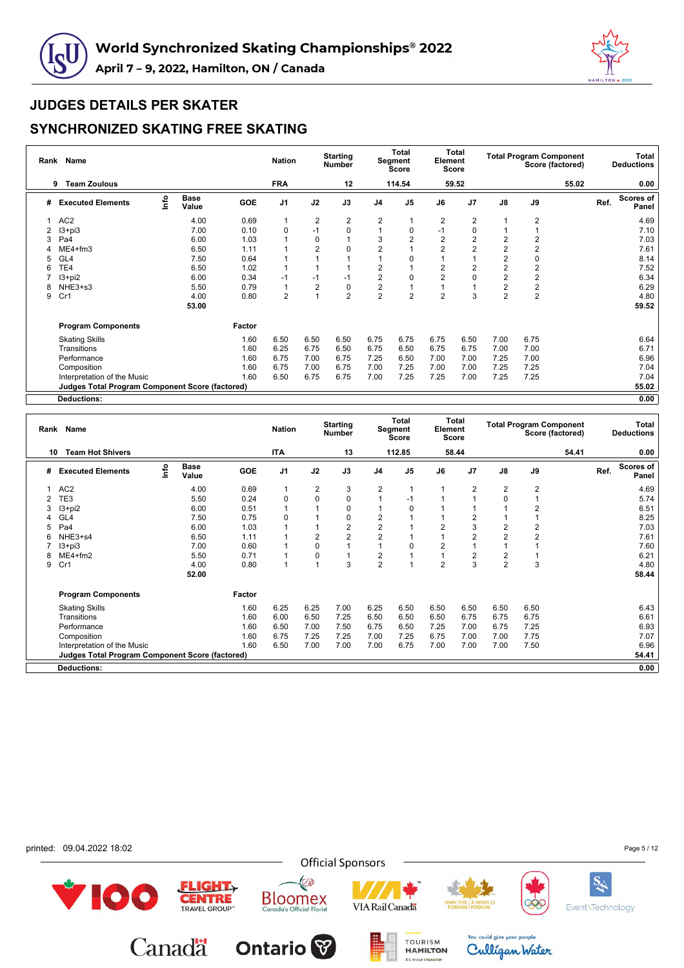



|   | Rank Name<br><b>Team Zoulous</b><br>9                  |                                  |                      |            | <b>Nation</b>  |                | <b>Starting</b><br><b>Number</b> |                | <b>Total</b><br>Segment<br>Score | Element        | <b>Total</b><br>Score |                |                         | <b>Total Program Component</b><br>Score (factored) |      | Total<br><b>Deductions</b> |
|---|--------------------------------------------------------|----------------------------------|----------------------|------------|----------------|----------------|----------------------------------|----------------|----------------------------------|----------------|-----------------------|----------------|-------------------------|----------------------------------------------------|------|----------------------------|
|   |                                                        |                                  |                      |            | <b>FRA</b>     |                | 12                               |                | 114.54                           |                | 59.52                 |                |                         | 55.02                                              |      | 0.00                       |
| # | <b>Executed Elements</b>                               | $\mathop{\mathsf{Irr}}\nolimits$ | <b>Base</b><br>Value | <b>GOE</b> | J <sub>1</sub> | J2             | J3                               | J <sub>4</sub> | J <sub>5</sub>                   | J6             | J <sub>7</sub>        | J8             | J9                      |                                                    | Ref. | Scores of<br>Panel         |
| 1 | AC <sub>2</sub>                                        |                                  | 4.00                 | 0.69       | 1              | 2              | 2                                | 2              |                                  | $\overline{2}$ | 2                     |                | 2                       |                                                    |      | 4.69                       |
|   | $13 + pi3$                                             |                                  | 7.00                 | 0.10       | $\mathbf 0$    | $-1$           | 0                                |                | 0                                |                | 0                     |                |                         |                                                    |      | 7.10                       |
|   | Pa4                                                    |                                  | 6.00                 | 1.03       |                | 0              | 1                                | 3              | 2                                | $\overline{2}$ | 2                     | $\overline{2}$ | 2                       |                                                    |      | 7.03                       |
|   | $ME4 + fm3$                                            |                                  | 6.50                 | 1.11       |                | $\overline{2}$ | 0                                | $\overline{2}$ |                                  | $\overline{2}$ | $\overline{2}$        | $\overline{2}$ | 2                       |                                                    |      | 7.61                       |
| 5 | GL <sub>4</sub>                                        |                                  | 7.50                 | 0.64       |                |                |                                  |                | 0                                |                |                       | $\overline{2}$ | 0                       |                                                    |      | 8.14                       |
| 6 | TE4                                                    |                                  | 6.50                 | 1.02       |                |                |                                  | 2              |                                  | $\overline{2}$ | 2                     | $\overline{2}$ | $\overline{2}$          |                                                    |      | 7.52                       |
|   | $13 + pi2$                                             |                                  | 6.00                 | 0.34       | $-1$           | $-1$           | $-1$                             | $\overline{2}$ | $\Omega$                         | $\overline{2}$ | 0                     | $\overline{2}$ | 2                       |                                                    |      | 6.34                       |
| 8 | NHE3+s3                                                |                                  | 5.50                 | 0.79       | 1              | 2              | 0                                | 2              |                                  |                |                       | $\overline{2}$ | $\overline{\mathbf{c}}$ |                                                    |      | 6.29                       |
| 9 | Cr1                                                    |                                  | 4.00                 | 0.80       | $\overline{2}$ |                | $\overline{2}$                   | $\overline{2}$ | $\overline{2}$                   | $\overline{2}$ | 3                     | $\overline{2}$ | $\overline{2}$          |                                                    |      | 4.80                       |
|   |                                                        |                                  | 53.00                |            |                |                |                                  |                |                                  |                |                       |                |                         |                                                    |      | 59.52                      |
|   | <b>Program Components</b>                              |                                  |                      | Factor     |                |                |                                  |                |                                  |                |                       |                |                         |                                                    |      |                            |
|   | <b>Skating Skills</b>                                  |                                  |                      | 1.60       | 6.50           | 6.50           | 6.50                             | 6.75           | 6.75                             | 6.75           | 6.50                  | 7.00           | 6.75                    |                                                    |      | 6.64                       |
|   | Transitions                                            |                                  |                      | 1.60       | 6.25           | 6.75           | 6.50                             | 6.75           | 6.50                             | 6.75           | 6.75                  | 7.00           | 7.00                    |                                                    |      | 6.71                       |
|   | Performance                                            |                                  |                      | 1.60       | 6.75           | 7.00           | 6.75                             | 7.25           | 6.50                             | 7.00           | 7.00                  | 7.25           | 7.00                    |                                                    |      | 6.96                       |
|   | Composition                                            |                                  |                      | 1.60       | 6.75           | 7.00           | 6.75                             | 7.00           | 7.25                             | 7.00           | 7.00                  | 7.25           | 7.25                    |                                                    |      | 7.04                       |
|   | Interpretation of the Music                            |                                  |                      | 1.60       | 6.50           | 6.75           | 6.75                             | 7.00           | 7.25                             | 7.25           | 7.00                  | 7.25           | 7.25                    |                                                    |      | 7.04                       |
|   | <b>Judges Total Program Component Score (factored)</b> |                                  |                      |            |                |                |                                  |                |                                  |                |                       |                |                         |                                                    |      | 55.02                      |
|   | <b>Deductions:</b>                                     |                                  |                      |            |                |                |                                  |                |                                  |                |                       |                |                         |                                                    |      | 0.00                       |

|    | Rank Name                                              |      |                      |        | <b>Nation</b>  |                | <b>Starting</b><br><b>Number</b> |                | Total<br>Segment<br><b>Score</b> | Element | <b>Total</b><br><b>Score</b> |                |                | <b>Total Program Component</b><br>Score (factored) |      | Total<br><b>Deductions</b> |
|----|--------------------------------------------------------|------|----------------------|--------|----------------|----------------|----------------------------------|----------------|----------------------------------|---------|------------------------------|----------------|----------------|----------------------------------------------------|------|----------------------------|
| 10 | <b>Team Hot Shivers</b>                                |      |                      |        | ITA            |                | 13                               |                | 112.85                           |         | 58.44                        |                |                | 54.41                                              |      | 0.00                       |
| #  | <b>Executed Elements</b>                               | lnfo | <b>Base</b><br>Value | GOE    | J <sub>1</sub> | J2             | J3                               | J4             | J <sub>5</sub>                   | J6      | J7                           | $\mathsf{J}8$  | J9             |                                                    | Ref. | Scores of<br>Panel         |
|    | AC <sub>2</sub>                                        |      | 4.00                 | 0.69   | $\overline{1}$ | $\overline{2}$ | 3                                | 2              |                                  |         | $\overline{2}$               | $\overline{2}$ | $\overline{2}$ |                                                    |      | 4.69                       |
|    | TE3                                                    |      | 5.50                 | 0.24   | 0              | 0              | $\mathbf 0$                      | $\mathbf{1}$   | $-1$                             |         |                              | $\mathbf 0$    |                |                                                    |      | 5.74                       |
|    | $13+pi2$                                               |      | 6.00                 | 0.51   |                |                | $\mathbf 0$                      |                | 0                                |         |                              |                | 2              |                                                    |      | 6.51                       |
|    | GL <sub>4</sub>                                        |      | 7.50                 | 0.75   | 0              |                | 0                                | 2              |                                  |         | $\overline{2}$               |                |                |                                                    |      | 8.25                       |
|    | Pa4                                                    |      | 6.00                 | 1.03   |                |                | $\overline{2}$                   | $\overline{2}$ |                                  |         | 3                            | 2              | 2              |                                                    |      | 7.03                       |
|    | NHE3+s4                                                |      | 6.50                 | 1.11   |                | 2              | $\overline{2}$                   | $\overline{c}$ |                                  |         | $\overline{2}$               | $\overline{2}$ | 2              |                                                    |      | 7.61                       |
|    | $13 + pi3$                                             |      | 7.00                 | 0.60   |                | 0              |                                  |                | 0                                | 2       |                              |                |                |                                                    |      | 7.60                       |
| 8  | $ME4+fm2$                                              |      | 5.50                 | 0.71   |                | 0              |                                  | 2              |                                  |         | 2                            | 2              |                |                                                    |      | 6.21                       |
| 9  | Cr1                                                    |      | 4.00                 | 0.80   | 1              |                | 3                                | 2              |                                  | 2       | 3                            | $\overline{2}$ | 3              |                                                    |      | 4.80                       |
|    |                                                        |      | 52.00                |        |                |                |                                  |                |                                  |         |                              |                |                |                                                    |      | 58.44                      |
|    | <b>Program Components</b>                              |      |                      | Factor |                |                |                                  |                |                                  |         |                              |                |                |                                                    |      |                            |
|    | <b>Skating Skills</b>                                  |      |                      | 1.60   | 6.25           | 6.25           | 7.00                             | 6.25           | 6.50                             | 6.50    | 6.50                         | 6.50           | 6.50           |                                                    |      | 6.43                       |
|    | Transitions                                            |      |                      | 1.60   | 6.00           | 6.50           | 7.25                             | 6.50           | 6.50                             | 6.50    | 6.75                         | 6.75           | 6.75           |                                                    |      | 6.61                       |
|    | Performance                                            |      |                      | 1.60   | 6.50           | 7.00           | 7.50                             | 6.75           | 6.50                             | 7.25    | 7.00                         | 6.75           | 7.25           |                                                    |      | 6.93                       |
|    | Composition                                            |      |                      | 1.60   | 6.75           | 7.25           | 7.25                             | 7.00           | 7.25                             | 6.75    | 7.00                         | 7.00           | 7.75           |                                                    |      | 7.07                       |
|    | Interpretation of the Music                            |      |                      | 1.60   | 6.50           | 7.00           | 7.00                             | 7.00           | 6.75                             | 7.00    | 7.00                         | 7.00           | 7.50           |                                                    |      | 6.96                       |
|    | <b>Judges Total Program Component Score (factored)</b> |      |                      |        |                |                |                                  |                |                                  |         |                              |                |                |                                                    |      | 54.41                      |
|    | <b>Deductions:</b>                                     |      |                      |        |                |                |                                  |                |                                  |         |                              |                |                |                                                    |      | 0.00                       |

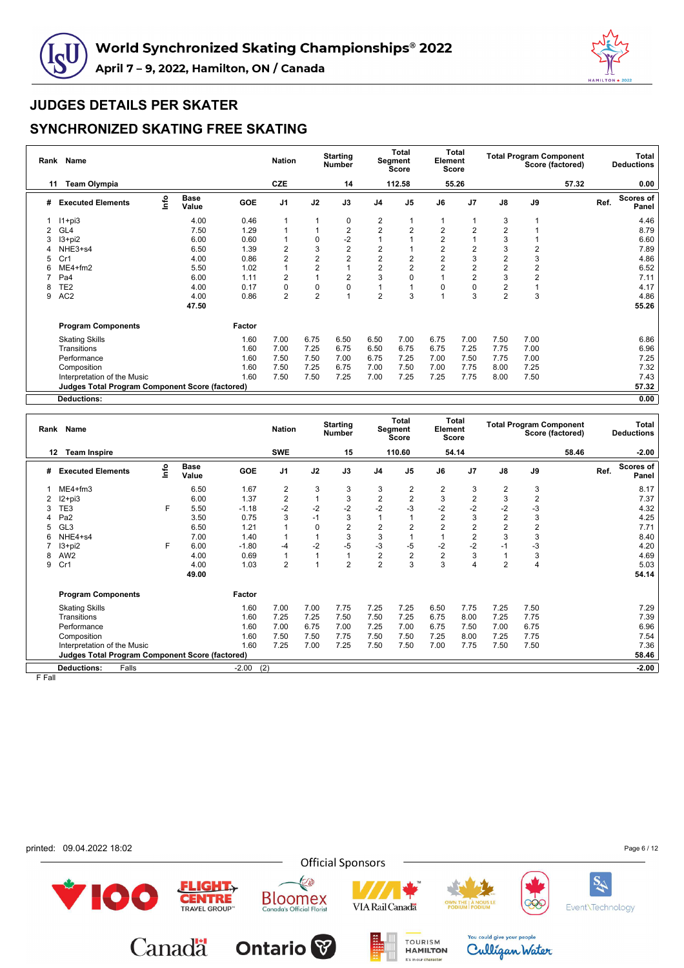



### **SYNCHRONIZED SKATING FREE SKATING**

|    | Rank Name                                       |      |                      |            | <b>Nation</b>  |                | <b>Starting</b><br><b>Number</b> |                | <b>Total</b><br>Segment<br><b>Score</b> | Element        | <b>Total</b><br><b>Score</b> |                |      | <b>Total Program Component</b><br>Score (factored) |      | Total<br><b>Deductions</b> |
|----|-------------------------------------------------|------|----------------------|------------|----------------|----------------|----------------------------------|----------------|-----------------------------------------|----------------|------------------------------|----------------|------|----------------------------------------------------|------|----------------------------|
| 11 | <b>Team Olympia</b>                             |      |                      |            | CZE            |                | 14                               |                | 112.58                                  |                | 55.26                        |                |      | 57.32                                              |      | 0.00                       |
| #  | <b>Executed Elements</b>                        | lnfo | <b>Base</b><br>Value | <b>GOE</b> | J <sub>1</sub> | J2             | J3                               | J <sub>4</sub> | J <sub>5</sub>                          | J6             | J <sub>7</sub>               | J8             | J9   |                                                    | Ref. | Scores of<br>Panel         |
|    | $11+pi3$                                        |      | 4.00                 | 0.46       | $\mathbf{1}$   |                | 0                                | 2              |                                         |                |                              | 3              |      |                                                    |      | 4.46                       |
| 2  | GL4                                             |      | 7.50                 | 1.29       | 1              |                | $\overline{2}$                   | $\overline{2}$ | $\overline{2}$                          | $\overline{2}$ | $\overline{2}$               | $\overline{2}$ |      |                                                    |      | 8.79                       |
| 3  | $13 + pi2$                                      |      | 6.00                 | 0.60       |                | 0              | $-2$                             |                |                                         | $\overline{2}$ |                              | 3              |      |                                                    |      | 6.60                       |
|    | NHE3+s4                                         |      | 6.50                 | 1.39       | $\overline{2}$ | 3              | $\overline{2}$                   | 2              |                                         | $\overline{2}$ | $\overline{2}$               | 3              | 2    |                                                    |      | 7.89                       |
| 5  | Cr1                                             |      | 4.00                 | 0.86       | $\overline{2}$ | $\overline{2}$ | $\overline{2}$                   | $\overline{2}$ | 2                                       | $\overline{2}$ | 3                            | $\overline{2}$ | 3    |                                                    |      | 4.86                       |
| 6  | $ME4 + fm2$                                     |      | 5.50                 | 1.02       | 1              | 2              | 1                                | $\overline{2}$ | 2                                       | $\overline{2}$ | $\overline{2}$               | $\overline{2}$ | 2    |                                                    |      | 6.52                       |
|    | Pa4                                             |      | 6.00                 | 1.11       | $\overline{2}$ |                | $\overline{2}$                   | 3              | 0                                       |                | 2                            | 3              | 2    |                                                    |      | 7.11                       |
| 8  | TE <sub>2</sub>                                 |      | 4.00                 | 0.17       | 0              | $\mathbf 0$    | 0                                |                |                                         | 0              | 0                            | $\overline{2}$ |      |                                                    |      | 4.17                       |
| 9  | AC <sub>2</sub>                                 |      | 4.00                 | 0.86       | $\overline{2}$ | 2              | 1                                | $\overline{2}$ | 3                                       |                | 3                            | $\overline{2}$ | 3    |                                                    |      | 4.86                       |
|    |                                                 |      | 47.50                |            |                |                |                                  |                |                                         |                |                              |                |      |                                                    |      | 55.26                      |
|    | <b>Program Components</b>                       |      |                      | Factor     |                |                |                                  |                |                                         |                |                              |                |      |                                                    |      |                            |
|    | <b>Skating Skills</b>                           |      |                      | 1.60       | 7.00           | 6.75           | 6.50                             | 6.50           | 7.00                                    | 6.75           | 7.00                         | 7.50           | 7.00 |                                                    |      | 6.86                       |
|    | Transitions                                     |      |                      | 1.60       | 7.00           | 7.25           | 6.75                             | 6.50           | 6.75                                    | 6.75           | 7.25                         | 7.75           | 7.00 |                                                    |      | 6.96                       |
|    | Performance                                     |      |                      | 1.60       | 7.50           | 7.50           | 7.00                             | 6.75           | 7.25                                    | 7.00           | 7.50                         | 7.75           | 7.00 |                                                    |      | 7.25                       |
|    | Composition                                     |      |                      | 1.60       | 7.50           | 7.25           | 6.75                             | 7.00           | 7.50                                    | 7.00           | 7.75                         | 8.00           | 7.25 |                                                    |      | 7.32                       |
|    | Interpretation of the Music                     |      |                      | 1.60       | 7.50           | 7.50           | 7.25                             | 7.00           | 7.25                                    | 7.25           | 7.75                         | 8.00           | 7.50 |                                                    |      | 7.43                       |
|    | Judges Total Program Component Score (factored) |      |                      |            |                |                |                                  |                |                                         |                |                              |                |      |                                                    |      | 57.32                      |
|    | <b>Deductions:</b>                              |      |                      |            |                |                |                                  |                |                                         |                |                              |                |      |                                                    |      | 0.00                       |

|   | Rank Name                                       |      |                      |            | <b>Nation</b>  |          | <b>Starting</b><br>Number |                         | Total<br>Segment<br>Score | Element        | Total<br><b>Score</b> |                |                | <b>Total Program Component</b><br>Score (factored) |      | Total<br><b>Deductions</b> |
|---|-------------------------------------------------|------|----------------------|------------|----------------|----------|---------------------------|-------------------------|---------------------------|----------------|-----------------------|----------------|----------------|----------------------------------------------------|------|----------------------------|
|   | <b>Team Inspire</b><br>12                       |      |                      |            | <b>SWE</b>     |          | 15                        |                         | 110.60                    |                | 54.14                 |                |                | 58.46                                              |      | $-2.00$                    |
| # | <b>Executed Elements</b>                        | lnfo | <b>Base</b><br>Value | <b>GOE</b> | J <sub>1</sub> | J2       | J3                        | J <sub>4</sub>          | J <sub>5</sub>            | J6             | J <sub>7</sub>        | J8             | J9             |                                                    | Ref. | <b>Scores of</b><br>Panel  |
|   | $ME4 + fm3$                                     |      | 6.50                 | 1.67       | 2              | 3        | 3                         | 3                       | 2                         | 2              | 3                     | $\overline{2}$ | 3              |                                                    |      | 8.17                       |
|   | $12 + pi3$                                      |      | 6.00                 | 1.37       | 2              |          | 3                         | $\overline{\mathbf{c}}$ | $\overline{2}$            | 3              | $\overline{2}$        | 3              | $\overline{c}$ |                                                    |      | 7.37                       |
|   | TE3                                             | F    | 5.50                 | $-1.18$    | $-2$           | $-2$     | $-2$                      | $-2$                    | -3                        | $-2$           | $-2$                  | $-2$           | $-3$           |                                                    |      | 4.32                       |
|   | Pa <sub>2</sub>                                 |      | 3.50                 | 0.75       | 3              | $-1$     | 3                         |                         |                           | $\overline{2}$ | 3                     | $\sqrt{2}$     | 3              |                                                    |      | 4.25                       |
| 5 | GL <sub>3</sub>                                 |      | 6.50                 | 1.21       |                | $\Omega$ | $\overline{2}$            | 2                       | $\overline{2}$            | $\overline{2}$ | $\overline{2}$        | $\overline{2}$ | 2              |                                                    |      | 7.71                       |
| 6 | NHE4+s4                                         |      | 7.00                 | 1.40       |                |          | 3                         | 3                       |                           |                | $\overline{2}$        | 3              | 3              |                                                    |      | 8.40                       |
|   | $13 + pi2$                                      | F    | 6.00                 | $-1.80$    | $-4$           | $-2$     | $-5$                      | $-3$                    | $-5$                      | $-2$           | $-2$                  | $-1$           | $-3$           |                                                    |      | 4.20                       |
| 8 | AW <sub>2</sub>                                 |      | 4.00                 | 0.69       |                |          |                           | $\overline{\mathbf{c}}$ | $\boldsymbol{2}$          | 2              | 3                     |                | 3              |                                                    |      | 4.69                       |
| 9 | Cr1                                             |      | 4.00                 | 1.03       | 2              |          | $\overline{2}$            | $\overline{2}$          | 3                         | 3              | 4                     | $\overline{2}$ | 4              |                                                    |      | 5.03                       |
|   |                                                 |      | 49.00                |            |                |          |                           |                         |                           |                |                       |                |                |                                                    |      | 54.14                      |
|   | <b>Program Components</b>                       |      |                      | Factor     |                |          |                           |                         |                           |                |                       |                |                |                                                    |      |                            |
|   | <b>Skating Skills</b>                           |      |                      | 1.60       | 7.00           | 7.00     | 7.75                      | 7.25                    | 7.25                      | 6.50           | 7.75                  | 7.25           | 7.50           |                                                    |      | 7.29                       |
|   | Transitions                                     |      |                      | 1.60       | 7.25           | 7.25     | 7.50                      | 7.50                    | 7.25                      | 6.75           | 8.00                  | 7.25           | 7.75           |                                                    |      | 7.39                       |
|   | Performance                                     |      |                      | 1.60       | 7.00           | 6.75     | 7.00                      | 7.25                    | 7.00                      | 6.75           | 7.50                  | 7.00           | 6.75           |                                                    |      | 6.96                       |
|   | Composition                                     |      |                      | 1.60       | 7.50           | 7.50     | 7.75                      | 7.50                    | 7.50                      | 7.25           | 8.00                  | 7.25           | 7.75           |                                                    |      | 7.54                       |
|   | Interpretation of the Music                     |      |                      | 1.60       | 7.25           | 7.00     | 7.25                      | 7.50                    | 7.50                      | 7.00           | 7.75                  | 7.50           | 7.50           |                                                    |      | 7.36                       |
|   | Judges Total Program Component Score (factored) |      |                      |            |                |          |                           |                         |                           |                |                       |                |                |                                                    |      | 58.46                      |
|   | Falls<br><b>Deductions:</b>                     |      |                      | $-2.00$    | (2)            |          |                           |                         |                           |                |                       |                |                |                                                    |      | $-2.00$                    |

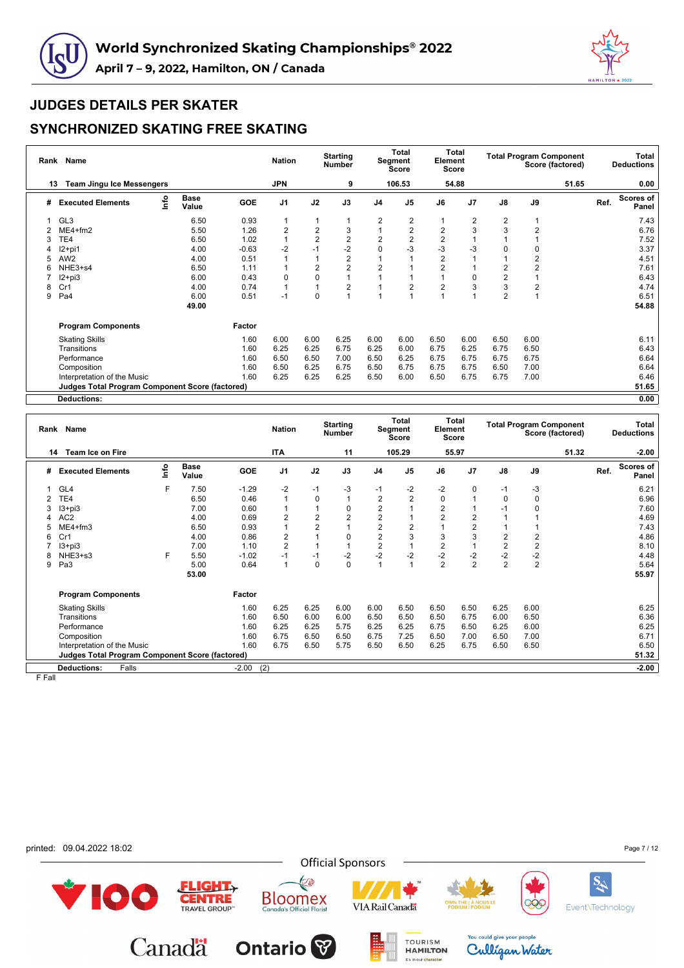



### **SYNCHRONIZED SKATING FREE SKATING**

|   | Rank Name<br><b>Team Jingu Ice Messengers</b><br>13    |      |                      |         | <b>Nation</b>  |                | <b>Starting</b><br><b>Number</b> |                | Total<br>Segment<br><b>Score</b> | Element        | <b>Total</b><br><b>Score</b> |                         | <b>Total Program Component</b> | Score (factored) |      | Total<br><b>Deductions</b> |
|---|--------------------------------------------------------|------|----------------------|---------|----------------|----------------|----------------------------------|----------------|----------------------------------|----------------|------------------------------|-------------------------|--------------------------------|------------------|------|----------------------------|
|   |                                                        |      |                      |         | <b>JPN</b>     |                | 9                                |                | 106.53                           |                | 54.88                        |                         |                                | 51.65            |      | 0.00                       |
| # | <b>Executed Elements</b>                               | lnfo | <b>Base</b><br>Value | GOE     | J <sub>1</sub> | J2             | J3                               | J <sub>4</sub> | J <sub>5</sub>                   | J6             | J <sub>7</sub>               | $\mathsf{J}8$           | J9                             |                  | Ref. | <b>Scores of</b><br>Panel  |
|   | GL <sub>3</sub>                                        |      | 6.50                 | 0.93    | 1              | 1              |                                  | 2              | 2                                |                | 2                            | 2                       |                                |                  |      | 7.43                       |
|   | $ME4 + fm2$                                            |      | 5.50                 | 1.26    | 2              | $\overline{2}$ | 3                                |                | 2                                | $\overline{2}$ | 3                            | 3                       | 2                              |                  |      | 6.76                       |
|   | TE4                                                    |      | 6.50                 | 1.02    | 1              | $\overline{2}$ | 2                                | $\overline{2}$ | 2                                | $\overline{2}$ |                              |                         |                                |                  |      | 7.52                       |
|   | $12+pi1$                                               |      | 4.00                 | $-0.63$ | $-2$           | $-1$           | $-2$                             | $\mathbf 0$    | $-3$                             | $-3$           | $-3$                         | $\Omega$                | 0                              |                  |      | 3.37                       |
| 5 | AW <sub>2</sub>                                        |      | 4.00                 | 0.51    | 1              |                | 2                                |                |                                  | $\overline{2}$ |                              |                         | 2                              |                  |      | 4.51                       |
| 6 | NHE3+s4                                                |      | 6.50                 | 1.11    | 1              | $\overline{2}$ | $\overline{c}$                   | $\overline{2}$ |                                  | $\overline{2}$ |                              | 2                       | $\overline{2}$                 |                  |      | 7.61                       |
|   | $12 + pi3$                                             |      | 6.00                 | 0.43    | 0              | 0              |                                  |                |                                  |                | 0                            | $\overline{\mathbf{c}}$ |                                |                  |      | 6.43                       |
| 8 | Cr1                                                    |      | 4.00                 | 0.74    | 1              | 1              | 2                                |                | 2                                | $\overline{2}$ | 3                            | 3                       | $\overline{2}$                 |                  |      | 4.74                       |
| 9 | Pa4                                                    |      | 6.00                 | 0.51    | $-1$           | 0              |                                  |                |                                  |                |                              | $\overline{2}$          |                                |                  |      | 6.51                       |
|   |                                                        |      | 49.00                |         |                |                |                                  |                |                                  |                |                              |                         |                                |                  |      | 54.88                      |
|   | <b>Program Components</b>                              |      |                      | Factor  |                |                |                                  |                |                                  |                |                              |                         |                                |                  |      |                            |
|   | <b>Skating Skills</b>                                  |      |                      | 1.60    | 6.00           | 6.00           | 6.25                             | 6.00           | 6.00                             | 6.50           | 6.00                         | 6.50                    | 6.00                           |                  |      | 6.11                       |
|   | Transitions                                            |      |                      | 1.60    | 6.25           | 6.25           | 6.75                             | 6.25           | 6.00                             | 6.75           | 6.25                         | 6.75                    | 6.50                           |                  |      | 6.43                       |
|   | Performance                                            |      |                      | 1.60    | 6.50           | 6.50           | 7.00                             | 6.50           | 6.25                             | 6.75           | 6.75                         | 6.75                    | 6.75                           |                  |      | 6.64                       |
|   | Composition                                            |      |                      | 1.60    | 6.50           | 6.25           | 6.75                             | 6.50           | 6.75                             | 6.75           | 6.75                         | 6.50                    | 7.00                           |                  |      | 6.64                       |
|   | Interpretation of the Music                            |      |                      | 1.60    | 6.25           | 6.25           | 6.25                             | 6.50           | 6.00                             | 6.50           | 6.75                         | 6.75                    | 7.00                           |                  |      | 6.46                       |
|   | <b>Judges Total Program Component Score (factored)</b> |      |                      |         |                |                |                                  |                |                                  |                |                              |                         |                                |                  |      | 51.65                      |
|   | <b>Deductions:</b>                                     |      |                      |         |                |                |                                  |                |                                  |                |                              |                         |                                |                  |      | 0.00                       |

|    | Rank Name                                       |             |                      |         | <b>Nation</b>  |                | <b>Starting</b><br><b>Number</b> |                         | <b>Total</b><br>Segment<br>Score | Element        | <b>Total</b><br><b>Score</b> |                |                | <b>Total Program Component</b><br>Score (factored) |      | Total<br><b>Deductions</b> |
|----|-------------------------------------------------|-------------|----------------------|---------|----------------|----------------|----------------------------------|-------------------------|----------------------------------|----------------|------------------------------|----------------|----------------|----------------------------------------------------|------|----------------------------|
| 14 | Team Ice on Fire                                |             |                      |         | ITA            |                | 11                               |                         | 105.29                           |                | 55.97                        |                |                | 51.32                                              |      | -2.00                      |
| #  | <b>Executed Elements</b>                        | <u>info</u> | <b>Base</b><br>Value | GOE     | J <sub>1</sub> | J2             | J3                               | J <sub>4</sub>          | J <sub>5</sub>                   | J6             | J <sub>7</sub>               | $\mathsf{J}8$  | J9             |                                                    | Ref. | Scores of<br>Panel         |
|    | GL4                                             | F           | 7.50                 | $-1.29$ | $-2$           | $-1$           | $-3$                             | $-1$                    | -2                               | $-2$           | 0                            | $-1$           | -3             |                                                    |      | 6.21                       |
|    | TE4                                             |             | 6.50                 | 0.46    | $\overline{1}$ | $\mathbf 0$    | 1                                | $\overline{\mathbf{c}}$ | $\overline{2}$                   | 0              |                              | $\mathbf 0$    | $\mathbf 0$    |                                                    |      | 6.96                       |
|    | $13 + pi3$                                      |             | 7.00                 | 0.60    |                |                | 0                                | 2                       |                                  | $\overline{2}$ |                              | $-1$           | 0              |                                                    |      | 7.60                       |
|    | AC <sub>2</sub>                                 |             | 4.00                 | 0.69    | $\overline{2}$ | $\overline{2}$ | $\overline{2}$                   | $\overline{2}$          |                                  | $\overline{2}$ | $\overline{2}$               |                |                |                                                    |      | 4.69                       |
|    | $ME4 + fm3$                                     |             | 6.50                 | 0.93    |                | 2              |                                  | $\overline{2}$          | 2                                |                | $\overline{2}$               |                |                |                                                    |      | 7.43                       |
| 6  | Cr1                                             |             | 4.00                 | 0.86    | $\overline{2}$ |                | $\Omega$                         | $\overline{2}$          | 3                                | 3              | 3                            | $\overline{2}$ | $\overline{2}$ |                                                    |      | 4.86                       |
|    | $13 + pi3$                                      |             | 7.00                 | 1.10    | $\overline{2}$ |                |                                  | $\overline{2}$          |                                  | $\overline{2}$ |                              | $\overline{2}$ | $\overline{2}$ |                                                    |      | 8.10                       |
|    | NHE3+s3                                         | F           | 5.50                 | $-1.02$ | $-1$           | $-1$           | $-2$                             | $-2$                    | $-2$                             | $-2$           | $-2$                         | $-2$           | $-2$           |                                                    |      | 4.48                       |
| 9  | Pa3                                             |             | 5.00                 | 0.64    | 1              | 0              | 0                                |                         |                                  | $\overline{2}$ | $\overline{2}$               | $\overline{2}$ | $\overline{2}$ |                                                    |      | 5.64                       |
|    |                                                 |             | 53.00                |         |                |                |                                  |                         |                                  |                |                              |                |                |                                                    |      | 55.97                      |
|    | <b>Program Components</b>                       |             |                      | Factor  |                |                |                                  |                         |                                  |                |                              |                |                |                                                    |      |                            |
|    | <b>Skating Skills</b>                           |             |                      | 1.60    | 6.25           | 6.25           | 6.00                             | 6.00                    | 6.50                             | 6.50           | 6.50                         | 6.25           | 6.00           |                                                    |      | 6.25                       |
|    | Transitions                                     |             |                      | 1.60    | 6.50           | 6.00           | 6.00                             | 6.50                    | 6.50                             | 6.50           | 6.75                         | 6.00           | 6.50           |                                                    |      | 6.36                       |
|    | Performance                                     |             |                      | 1.60    | 6.25           | 6.25           | 5.75                             | 6.25                    | 6.25                             | 6.75           | 6.50                         | 6.25           | 6.00           |                                                    |      | 6.25                       |
|    | Composition                                     |             |                      | 1.60    | 6.75           | 6.50           | 6.50                             | 6.75                    | 7.25                             | 6.50           | 7.00                         | 6.50           | 7.00           |                                                    |      | 6.71                       |
|    | Interpretation of the Music                     |             |                      | 1.60    | 6.75           | 6.50           | 5.75                             | 6.50                    | 6.50                             | 6.25           | 6.75                         | 6.50           | 6.50           |                                                    |      | 6.50                       |
|    | Judges Total Program Component Score (factored) |             |                      |         |                |                |                                  |                         |                                  |                |                              |                |                |                                                    |      | 51.32                      |
|    | <b>Deductions:</b><br>Falls                     |             |                      | $-2.00$ | (2)            |                |                                  |                         |                                  |                |                              |                |                |                                                    |      | $-2.00$                    |

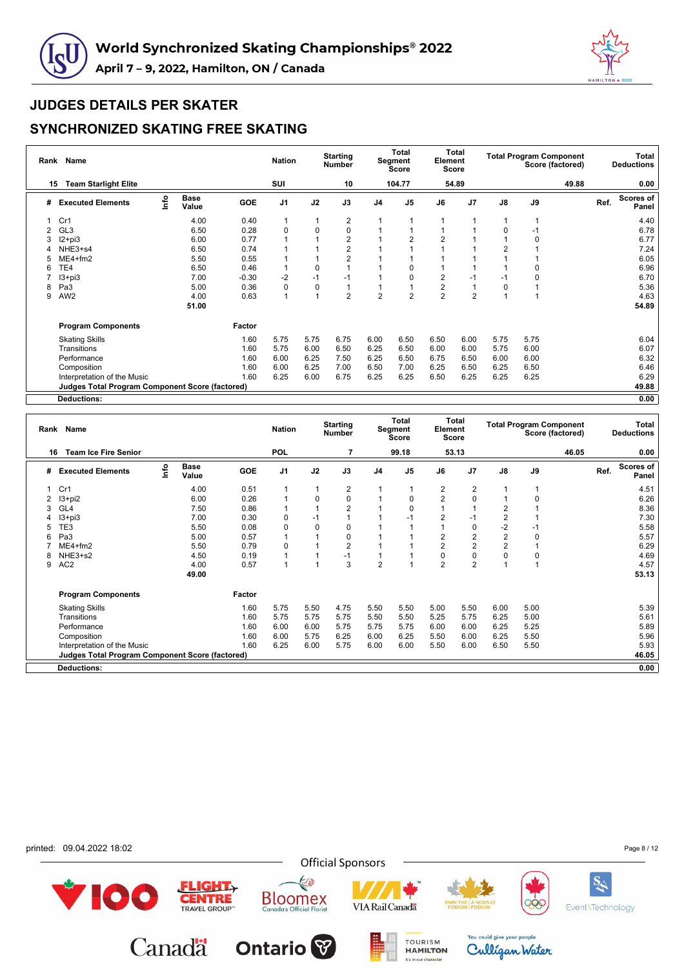



|   | Rank Name<br>15                                 |             |                      |         | <b>Nation</b>  |             | <b>Starting</b><br><b>Number</b> |                | Total<br>Segment<br><b>Score</b> | Element        | <b>Total</b><br><b>Score</b> |                | <b>Total Program Component</b> | Score (factored) |      | Total<br><b>Deductions</b> |
|---|-------------------------------------------------|-------------|----------------------|---------|----------------|-------------|----------------------------------|----------------|----------------------------------|----------------|------------------------------|----------------|--------------------------------|------------------|------|----------------------------|
|   | <b>Team Starlight Elite</b>                     |             |                      |         | SUI            |             | 10                               |                | 104.77                           |                | 54.89                        |                |                                | 49.88            |      | 0.00                       |
| # | <b>Executed Elements</b>                        | <u>info</u> | <b>Base</b><br>Value | GOE     | J <sub>1</sub> | J2          | J3                               | J <sub>4</sub> | J <sub>5</sub>                   | J6             | J <sub>7</sub>               | $\mathsf{J}8$  | J9                             |                  | Ref. | <b>Scores of</b><br>Panel  |
|   | Cr1                                             |             | 4.00                 | 0.40    | 1              | 1           | 2                                |                |                                  |                |                              |                |                                |                  |      | 4.40                       |
| 2 | GL <sub>3</sub>                                 |             | 6.50                 | 0.28    | $\mathbf 0$    | $\mathbf 0$ | 0                                |                |                                  |                |                              | $\Omega$       | -1                             |                  |      | 6.78                       |
| 3 | $12 + pi3$                                      |             | 6.00                 | 0.77    |                |             | 2                                |                |                                  | $\overline{2}$ |                              |                | 0                              |                  |      | 6.77                       |
|   | NHE3+s4                                         |             | 6.50                 | 0.74    |                |             | 2                                |                |                                  |                |                              | $\overline{2}$ |                                |                  |      | 7.24                       |
| 5 | $ME4 + fm2$                                     |             | 5.50                 | 0.55    |                |             | 2                                |                |                                  |                |                              |                |                                |                  |      | 6.05                       |
| 6 | TE4                                             |             | 6.50                 | 0.46    |                | 0           |                                  |                |                                  |                |                              |                | 0                              |                  |      | 6.96                       |
|   | $13 + pi3$                                      |             | 7.00                 | $-0.30$ | -2             | $-1$        | $-1$                             |                |                                  | $\overline{2}$ | $-1$                         | $-1$           | $\Omega$                       |                  |      | 6.70                       |
| 8 | Pa3                                             |             | 5.00                 | 0.36    | 0              | 0           |                                  |                |                                  | $\overline{2}$ |                              | 0              |                                |                  |      | 5.36                       |
| 9 | AW <sub>2</sub>                                 |             | 4.00                 | 0.63    | 1              | 1           | $\overline{2}$                   | $\overline{2}$ | $\overline{2}$                   | $\overline{2}$ | $\overline{2}$               |                |                                |                  |      | 4.63                       |
|   |                                                 |             | 51.00                |         |                |             |                                  |                |                                  |                |                              |                |                                |                  |      | 54.89                      |
|   | <b>Program Components</b>                       |             |                      | Factor  |                |             |                                  |                |                                  |                |                              |                |                                |                  |      |                            |
|   | <b>Skating Skills</b>                           |             |                      | 1.60    | 5.75           | 5.75        | 6.75                             | 6.00           | 6.50                             | 6.50           | 6.00                         | 5.75           | 5.75                           |                  |      | 6.04                       |
|   | Transitions                                     |             |                      | 1.60    | 5.75           | 6.00        | 6.50                             | 6.25           | 6.50                             | 6.00           | 6.00                         | 5.75           | 6.00                           |                  |      | 6.07                       |
|   | Performance                                     |             |                      | 1.60    | 6.00           | 6.25        | 7.50                             | 6.25           | 6.50                             | 6.75           | 6.50                         | 6.00           | 6.00                           |                  |      | 6.32                       |
|   | Composition                                     |             |                      | 1.60    | 6.00           | 6.25        | 7.00                             | 6.50           | 7.00                             | 6.25           | 6.50                         | 6.25           | 6.50                           |                  |      | 6.46                       |
|   | Interpretation of the Music                     |             |                      | 1.60    | 6.25           | 6.00        | 6.75                             | 6.25           | 6.25                             | 6.50           | 6.25                         | 6.25           | 6.25                           |                  |      | 6.29                       |
|   | Judges Total Program Component Score (factored) |             |                      |         |                |             |                                  |                |                                  |                |                              |                |                                |                  |      | 49.88                      |
|   | <b>Deductions:</b>                              |             |                      |         |                |             |                                  |                |                                  |                |                              |                |                                |                  |      | 0.00                       |

|    | Rank Name                                       |      |                      |            | <b>Nation</b> |          | <b>Starting</b><br><b>Number</b> |                | Total<br>Segment<br><b>Score</b> | Element        | Total<br><b>Score</b> |                |      | <b>Total Program Component</b><br>Score (factored) |      | Total<br><b>Deductions</b> |
|----|-------------------------------------------------|------|----------------------|------------|---------------|----------|----------------------------------|----------------|----------------------------------|----------------|-----------------------|----------------|------|----------------------------------------------------|------|----------------------------|
| 16 | <b>Team Ice Fire Senior</b>                     |      |                      |            | <b>POL</b>    |          |                                  |                | 99.18                            |                | 53.13                 |                |      | 46.05                                              |      | 0.00                       |
| #  | <b>Executed Elements</b>                        | lnfo | <b>Base</b><br>Value | <b>GOE</b> | J1            | J2       | J3                               | J4             | J <sub>5</sub>                   | J6             | J7                    | J8             | J9   |                                                    | Ref. | Scores of<br>Panel         |
|    | Cr1                                             |      | 4.00                 | 0.51       |               |          | $\overline{2}$                   |                |                                  | $\overline{2}$ | $\overline{2}$        |                |      |                                                    |      | 4.51                       |
|    | I3+pi2                                          |      | 6.00                 | 0.26       |               | 0        | $\mathbf 0$                      |                | 0                                | 2              | 0                     | 1              | 0    |                                                    |      | 6.26                       |
| 3  | GL <sub>4</sub>                                 |      | 7.50                 | 0.86       |               |          | $\overline{2}$                   |                | $\Omega$                         |                |                       | 2              |      |                                                    |      | 8.36                       |
|    | $13 + pi3$                                      |      | 7.00                 | 0.30       | 0             | $-1$     |                                  |                |                                  | $\overline{2}$ | $-1$                  | 2              |      |                                                    |      | 7.30                       |
|    | TE3                                             |      | 5.50                 | 0.08       | 0             | $\Omega$ | 0                                |                |                                  |                | $\Omega$              | $-2$           | $-1$ |                                                    |      | 5.58                       |
| 6  | Pa3                                             |      | 5.00                 | 0.57       |               |          | 0                                |                |                                  | 2              | $\overline{2}$        | $\overline{c}$ | 0    |                                                    |      | 5.57                       |
|    | ME4+fm2                                         |      | 5.50                 | 0.79       | 0             |          | $\overline{2}$                   |                |                                  | 2              | $\overline{c}$        | $\overline{2}$ |      |                                                    |      | 6.29                       |
| 8  | NHE3+s2                                         |      | 4.50                 | 0.19       |               |          | $-1$                             |                |                                  | $\Omega$       | 0                     | 0              | 0    |                                                    |      | 4.69                       |
| 9  | AC <sub>2</sub>                                 |      | 4.00                 | 0.57       |               |          | 3                                | $\overline{2}$ |                                  | $\overline{2}$ | $\overline{2}$        |                |      |                                                    |      | 4.57                       |
|    |                                                 |      | 49.00                |            |               |          |                                  |                |                                  |                |                       |                |      |                                                    |      | 53.13                      |
|    | <b>Program Components</b>                       |      |                      | Factor     |               |          |                                  |                |                                  |                |                       |                |      |                                                    |      |                            |
|    | <b>Skating Skills</b>                           |      |                      | 1.60       | 5.75          | 5.50     | 4.75                             | 5.50           | 5.50                             | 5.00           | 5.50                  | 6.00           | 5.00 |                                                    |      | 5.39                       |
|    | Transitions                                     |      |                      | 1.60       | 5.75          | 5.75     | 5.75                             | 5.50           | 5.50                             | 5.25           | 5.75                  | 6.25           | 5.00 |                                                    |      | 5.61                       |
|    | Performance                                     |      |                      | 1.60       | 6.00          | 6.00     | 5.75                             | 5.75           | 5.75                             | 6.00           | 6.00                  | 6.25           | 5.25 |                                                    |      | 5.89                       |
|    | Composition                                     |      |                      | 1.60       | 6.00          | 5.75     | 6.25                             | 6.00           | 6.25                             | 5.50           | 6.00                  | 6.25           | 5.50 |                                                    |      | 5.96                       |
|    | Interpretation of the Music                     |      |                      | 1.60       | 6.25          | 6.00     | 5.75                             | 6.00           | 6.00                             | 5.50           | 6.00                  | 6.50           | 5.50 |                                                    |      | 5.93                       |
|    | Judges Total Program Component Score (factored) |      |                      |            |               |          |                                  |                |                                  |                |                       |                |      |                                                    |      | 46.05                      |
|    | <b>Deductions:</b>                              |      |                      |            |               |          |                                  |                |                                  |                |                       |                |      |                                                    |      | 0.00                       |
|    |                                                 |      |                      |            |               |          |                                  |                |                                  |                |                       |                |      |                                                    |      |                            |

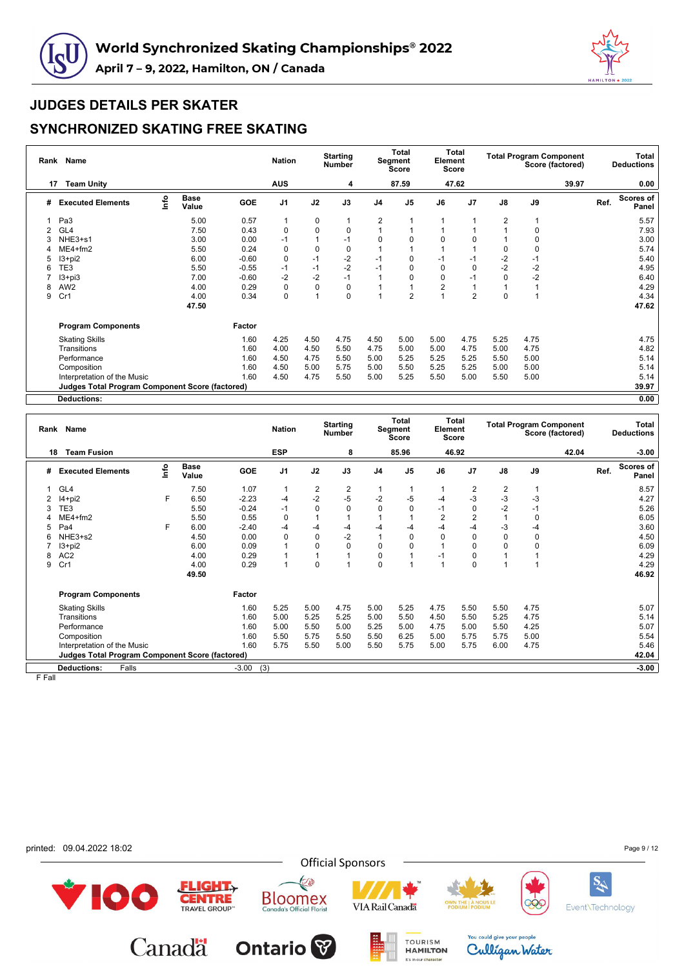



### **SYNCHRONIZED SKATING FREE SKATING**

|   | Rank Name<br>17                                 |      |                      |         | <b>Nation</b>  |             | <b>Starting</b><br><b>Number</b> |                | <b>Total</b><br><b>Segment</b><br>Score | Element     | <b>Total</b><br>Score |               | <b>Total Program Component</b> | Score (factored) |      | Total<br><b>Deductions</b> |
|---|-------------------------------------------------|------|----------------------|---------|----------------|-------------|----------------------------------|----------------|-----------------------------------------|-------------|-----------------------|---------------|--------------------------------|------------------|------|----------------------------|
|   | <b>Team Unity</b>                               |      |                      |         | <b>AUS</b>     |             | 4                                |                | 87.59                                   |             | 47.62                 |               |                                | 39.97            |      | 0.00                       |
| # | <b>Executed Elements</b>                        | lnfo | <b>Base</b><br>Value | GOE     | J <sub>1</sub> | J2          | J3                               | J <sub>4</sub> | J <sub>5</sub>                          | J6          | J <sub>7</sub>        | $\mathsf{J}8$ | J9                             |                  | Ref. | <b>Scores of</b><br>Panel  |
|   | Pa3                                             |      | 5.00                 | 0.57    | 1              | 0           |                                  | 2              |                                         |             |                       | 2             |                                |                  |      | 5.57                       |
| 2 | GL <sub>4</sub>                                 |      | 7.50                 | 0.43    | 0              | $\mathbf 0$ | 0                                |                |                                         |             |                       |               | 0                              |                  |      | 7.93                       |
|   | NHE3+s1                                         |      | 3.00                 | 0.00    | $-1$           |             | $-1$                             | $\Omega$       | O                                       | 0           | 0                     |               | 0                              |                  |      | 3.00                       |
|   | $ME4 + fm2$                                     |      | 5.50                 | 0.24    | 0              | $\mathbf 0$ | 0                                |                |                                         |             |                       | 0             | 0                              |                  |      | 5.74                       |
| 5 | $13 + pi2$                                      |      | 6.00                 | $-0.60$ | 0              | $-1$        | $-2$                             |                | 0                                       | $-1$        | -1                    | -2            | $-1$                           |                  |      | 5.40                       |
| 6 | TE3                                             |      | 5.50                 | $-0.55$ | $-1$           | $-1$        | $-2$                             | $-1$           | 0                                       | 0           | 0                     | $-2$          | $-2$                           |                  |      | 4.95                       |
|   | $13 + pi3$                                      |      | 7.00                 | $-0.60$ | $-2$           | $-2$        | $-1$                             |                |                                         | $\mathbf 0$ | $-1$                  | $\mathbf 0$   | $-2$                           |                  |      | 6.40                       |
| 8 | AW <sub>2</sub>                                 |      | 4.00                 | 0.29    | 0              | 0           | 0                                |                |                                         | 2           |                       |               |                                |                  |      | 4.29                       |
| 9 | Cr1                                             |      | 4.00                 | 0.34    | $\mathbf 0$    | 1           | 0                                |                | $\overline{2}$                          |             | $\overline{2}$        | $\mathbf 0$   |                                |                  |      | 4.34                       |
|   |                                                 |      | 47.50                |         |                |             |                                  |                |                                         |             |                       |               |                                |                  |      | 47.62                      |
|   | <b>Program Components</b>                       |      |                      | Factor  |                |             |                                  |                |                                         |             |                       |               |                                |                  |      |                            |
|   | <b>Skating Skills</b>                           |      |                      | 1.60    | 4.25           | 4.50        | 4.75                             | 4.50           | 5.00                                    | 5.00        | 4.75                  | 5.25          | 4.75                           |                  |      | 4.75                       |
|   | Transitions                                     |      |                      | 1.60    | 4.00           | 4.50        | 5.50                             | 4.75           | 5.00                                    | 5.00        | 4.75                  | 5.00          | 4.75                           |                  |      | 4.82                       |
|   | Performance                                     |      |                      | 1.60    | 4.50           | 4.75        | 5.50                             | 5.00           | 5.25                                    | 5.25        | 5.25                  | 5.50          | 5.00                           |                  |      | 5.14                       |
|   | Composition                                     |      |                      | 1.60    | 4.50           | 5.00        | 5.75                             | 5.00           | 5.50                                    | 5.25        | 5.25                  | 5.00          | 5.00                           |                  |      | 5.14                       |
|   | Interpretation of the Music                     |      |                      | 1.60    | 4.50           | 4.75        | 5.50                             | 5.00           | 5.25                                    | 5.50        | 5.00                  | 5.50          | 5.00                           |                  |      | 5.14                       |
|   | Judges Total Program Component Score (factored) |      |                      |         |                |             |                                  |                |                                         |             |                       |               |                                |                  |      | 39.97                      |
|   | <b>Deductions:</b>                              |      |                      |         |                |             |                                  |                |                                         |             |                       |               |                                |                  |      | 0.00                       |

|    | Rank Name                                              |      |                      |            | <b>Nation</b>  |             | <b>Starting</b><br><b>Number</b> |                | <b>Total</b><br>Segment<br>Score | Element  | <b>Total</b><br>Score |                |             | <b>Total Program Component</b><br>Score (factored) |      | Total<br><b>Deductions</b> |
|----|--------------------------------------------------------|------|----------------------|------------|----------------|-------------|----------------------------------|----------------|----------------------------------|----------|-----------------------|----------------|-------------|----------------------------------------------------|------|----------------------------|
| 18 | <b>Team Fusion</b>                                     |      |                      |            | <b>ESP</b>     |             | 8                                |                | 85.96                            |          | 46.92                 |                |             | 42.04                                              |      | $-3.00$                    |
| #  | <b>Executed Elements</b>                               | lnfo | <b>Base</b><br>Value | <b>GOE</b> | J <sub>1</sub> | J2          | J3                               | J <sub>4</sub> | J <sub>5</sub>                   | J6       | J7                    | J8             | J9          |                                                    | Ref. | <b>Scores of</b><br>Panel  |
|    | GL4                                                    |      | 7.50                 | 1.07       |                | 2           | $\overline{\mathbf{c}}$          |                |                                  |          | 2                     | 2              |             |                                                    |      | 8.57                       |
|    | $14+pi2$                                               | F    | 6.50                 | $-2.23$    | $-4$           | $-2$        | $-5$                             | $-2$           | $-5$                             | -4       | $-3$                  | -3             | $-3$        |                                                    |      | 4.27                       |
|    | TE3                                                    |      | 5.50                 | $-0.24$    | $-1$           | 0           | $\mathbf 0$                      | $\Omega$       | $\Omega$                         | -1       | $\Omega$              | $-2$           | $-1$        |                                                    |      | 5.26                       |
|    | $ME4 + fm2$                                            |      | 5.50                 | 0.55       | 0              |             |                                  |                |                                  | 2        | $\overline{2}$        | $\overline{1}$ | $\mathbf 0$ |                                                    |      | 6.05                       |
|    | Pa4                                                    | F    | 6.00                 | $-2.40$    | $-4$           | $-4$        | $-4$                             | $-4$           | -4                               | -4       | -4                    | -3             | $-4$        |                                                    |      | 3.60                       |
| 6  | NHE3+s2                                                |      | 4.50                 | 0.00       | $\Omega$       | $\Omega$    | $-2$                             |                | $\Omega$                         | $\Omega$ | $\Omega$              | $\Omega$       | $\mathbf 0$ |                                                    |      | 4.50                       |
|    | 3+pi2                                                  |      | 6.00                 | 0.09       |                | 0           | $\mathbf 0$                      | $\Omega$       | $\mathbf 0$                      |          | $\Omega$              | $\Omega$       | 0           |                                                    |      | 6.09                       |
| 8  | AC <sub>2</sub>                                        |      | 4.00                 | 0.29       |                | 1           |                                  | 0              |                                  | -1       | $\Omega$              |                |             |                                                    |      | 4.29                       |
| 9  | Cr1                                                    |      | 4.00                 | 0.29       |                | $\mathbf 0$ |                                  | 0              |                                  |          | $\Omega$              | и              |             |                                                    |      | 4.29                       |
|    |                                                        |      | 49.50                |            |                |             |                                  |                |                                  |          |                       |                |             |                                                    |      | 46.92                      |
|    | <b>Program Components</b>                              |      |                      | Factor     |                |             |                                  |                |                                  |          |                       |                |             |                                                    |      |                            |
|    | <b>Skating Skills</b>                                  |      |                      | 1.60       | 5.25           | 5.00        | 4.75                             | 5.00           | 5.25                             | 4.75     | 5.50                  | 5.50           | 4.75        |                                                    |      | 5.07                       |
|    | Transitions                                            |      |                      | 1.60       | 5.00           | 5.25        | 5.25                             | 5.00           | 5.50                             | 4.50     | 5.50                  | 5.25           | 4.75        |                                                    |      | 5.14                       |
|    | Performance                                            |      |                      | 1.60       | 5.00           | 5.50        | 5.00                             | 5.25           | 5.00                             | 4.75     | 5.00                  | 5.50           | 4.25        |                                                    |      | 5.07                       |
|    | Composition                                            |      |                      | 1.60       | 5.50           | 5.75        | 5.50                             | 5.50           | 6.25                             | 5.00     | 5.75                  | 5.75           | 5.00        |                                                    |      | 5.54                       |
|    | Interpretation of the Music                            |      |                      | 1.60       | 5.75           | 5.50        | 5.00                             | 5.50           | 5.75                             | 5.00     | 5.75                  | 6.00           | 4.75        |                                                    |      | 5.46                       |
|    | <b>Judges Total Program Component Score (factored)</b> |      |                      |            |                |             |                                  |                |                                  |          |                       |                |             |                                                    |      | 42.04                      |
|    | Falls<br><b>Deductions:</b>                            |      |                      | $-3.00$    | (3)            |             |                                  |                |                                  |          |                       |                |             |                                                    |      | $-3.00$                    |

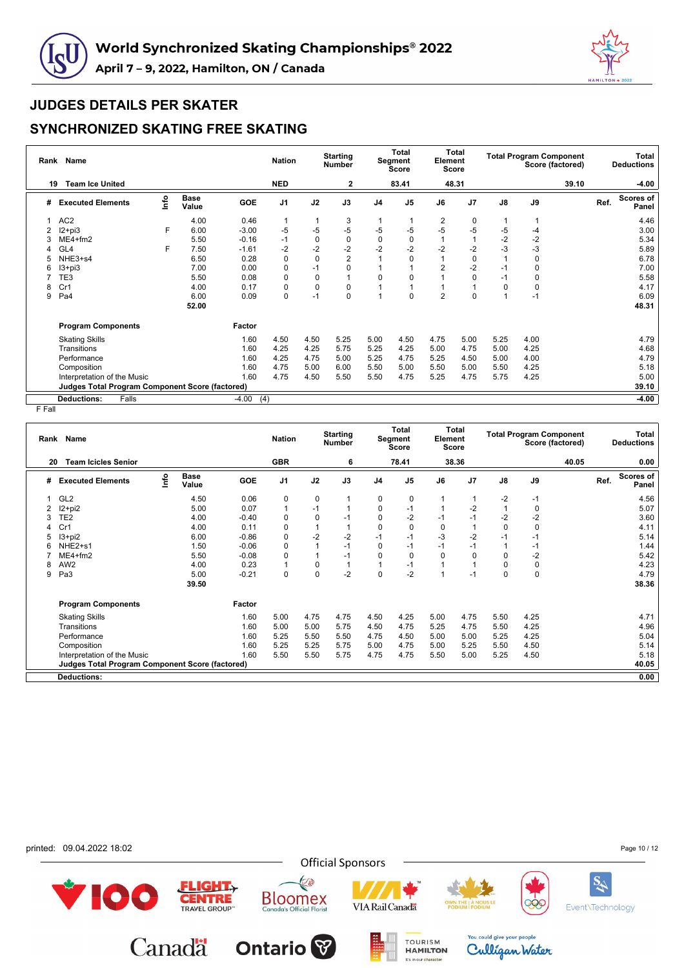



## **SYNCHRONIZED SKATING FREE SKATING**

| Rank | <b>Name</b>                                            |      |                      |                | <b>Nation</b>  |             | <b>Starting</b><br><b>Number</b> |                | Total<br><b>Segment</b><br>Score | Element        | <b>Total</b><br>Score |                | <b>Total Program Component</b> | Score (factored) |      | Total<br><b>Deductions</b> |
|------|--------------------------------------------------------|------|----------------------|----------------|----------------|-------------|----------------------------------|----------------|----------------------------------|----------------|-----------------------|----------------|--------------------------------|------------------|------|----------------------------|
| 19   | <b>Team Ice United</b>                                 |      |                      |                | <b>NED</b>     |             | $\overline{2}$                   |                | 83.41                            |                | 48.31                 |                |                                | 39.10            |      | -4.00                      |
| #    | <b>Executed Elements</b>                               | lnfo | <b>Base</b><br>Value | GOE            | J <sub>1</sub> | J2          | J3                               | J <sub>4</sub> | J <sub>5</sub>                   | J6             | J <sub>7</sub>        | $\mathsf{J}8$  | J9                             |                  | Ref. | <b>Scores of</b><br>Panel  |
|      | AC <sub>2</sub>                                        |      | 4.00                 | 0.46           | 1              | 1           | 3                                |                |                                  | 2              | 0                     | $\mathbf{1}$   |                                |                  |      | 4.46                       |
| 2    | $12+pi3$                                               | F    | 6.00                 | $-3.00$        | -5             | $-5$        | $-5$                             | -5             | $-5$                             | $-5$           | $-5$                  | -5             | -4                             |                  |      | 3.00                       |
|      | ME4+fm2                                                |      | 5.50                 | $-0.16$        | $-1$           | $\mathbf 0$ | 0                                | 0              | 0                                |                |                       | $-2$           | $-2$                           |                  |      | 5.34                       |
|      | GL4                                                    | F    | 7.50                 | $-1.61$        | $-2$           | $-2$        | $-2$                             | $-2$           | $-2$                             | $-2$           | $-2$                  | $-3$           | -3                             |                  |      | 5.89                       |
| 5    | NHE3+s4                                                |      | 6.50                 | 0.28           | 0              | $\mathbf 0$ | 2                                |                | 0                                |                | 0                     |                | 0                              |                  |      | 6.78                       |
| 6    | $13 + pi3$                                             |      | 7.00                 | 0.00           | 0              | $-1$        | 0                                |                |                                  | $\overline{2}$ | $-2$                  | $-1$           | 0                              |                  |      | 7.00                       |
|      | TE3                                                    |      | 5.50                 | 0.08           | 0              | 0           |                                  | $\Omega$       | O                                |                | $\Omega$              | $-1$           | 0                              |                  |      | 5.58                       |
| 8    | Cr1                                                    |      | 4.00                 | 0.17           | 0              | 0           | 0                                |                |                                  |                |                       | $\mathbf 0$    | 0                              |                  |      | 4.17                       |
| 9    | Pa4                                                    |      | 6.00<br>52.00        | 0.09           | 0              | $-1$        | 0                                |                | 0                                | $\overline{2}$ | 0                     | $\overline{ }$ | $-1$                           |                  |      | 6.09<br>48.31              |
|      | <b>Program Components</b>                              |      |                      | Factor         |                |             |                                  |                |                                  |                |                       |                |                                |                  |      |                            |
|      | <b>Skating Skills</b>                                  |      |                      | 1.60           | 4.50           | 4.50        | 5.25                             | 5.00           | 4.50                             | 4.75           | 5.00                  | 5.25           | 4.00                           |                  |      | 4.79                       |
|      | Transitions                                            |      |                      | 1.60           | 4.25           | 4.25        | 5.75                             | 5.25           | 4.25                             | 5.00           | 4.75                  | 5.00           | 4.25                           |                  |      | 4.68                       |
|      | Performance                                            |      |                      | 1.60           | 4.25           | 4.75        | 5.00                             | 5.25           | 4.75                             | 5.25           | 4.50                  | 5.00           | 4.00                           |                  |      | 4.79                       |
|      | Composition                                            |      |                      | 1.60           | 4.75           | 5.00        | 6.00                             | 5.50           | 5.00                             | 5.50           | 5.00                  | 5.50           | 4.25                           |                  |      | 5.18                       |
|      | Interpretation of the Music                            |      |                      | 1.60           | 4.75           | 4.50        | 5.50                             | 5.50           | 4.75                             | 5.25           | 4.75                  | 5.75           | 4.25                           |                  |      | 5.00                       |
|      | <b>Judges Total Program Component Score (factored)</b> |      |                      |                |                |             |                                  |                |                                  |                |                       |                |                                |                  |      | 39.10                      |
|      | <b>Deductions:</b><br>Falls                            |      |                      | $-4.00$<br>(4) |                |             |                                  |                |                                  |                |                       |                |                                |                  |      | -4.00                      |

| Rank | Name<br><b>Team Icicles Senior</b><br>20        |      |                      |            | <b>Nation</b>  |             | <b>Starting</b><br><b>Number</b> |                | <b>Total</b><br>Segment<br><b>Score</b> | Element     | <b>Total</b><br><b>Score</b> |               |             | <b>Total Program Component</b><br>Score (factored) |      | <b>Total</b><br><b>Deductions</b> |
|------|-------------------------------------------------|------|----------------------|------------|----------------|-------------|----------------------------------|----------------|-----------------------------------------|-------------|------------------------------|---------------|-------------|----------------------------------------------------|------|-----------------------------------|
|      |                                                 |      |                      |            | <b>GBR</b>     |             | 6                                |                | 78.41                                   |             | 38.36                        |               |             | 40.05                                              |      | 0.00                              |
| #    | <b>Executed Elements</b>                        | Info | <b>Base</b><br>Value | <b>GOE</b> | J <sub>1</sub> | J2          | J3                               | J <sub>4</sub> | J <sub>5</sub>                          | J6          | J <sub>7</sub>               | $\mathsf{J}8$ | J9          |                                                    | Ref. | Scores of<br>Panel                |
|      | GL <sub>2</sub>                                 |      | 4.50                 | 0.06       | 0              | 0           | 1                                | 0              | 0                                       |             |                              | $-2$          | -1          |                                                    |      | 4.56                              |
| 2    | $12+pi2$                                        |      | 5.00                 | 0.07       | $\overline{1}$ | $-1$        | 1                                | 0              | $-1$                                    |             | $-2$                         |               | 0           |                                                    |      | 5.07                              |
| 3    | TE <sub>2</sub>                                 |      | 4.00                 | $-0.40$    | $\Omega$       | $\mathbf 0$ | $-1$                             | 0              | $-2$                                    | $-1$        | $-1$                         | $-2$          | $-2$        |                                                    |      | 3.60                              |
|      | Cr1                                             |      | 4.00                 | 0.11       | 0              | 1           | $\mathbf{1}$                     | 0              | 0                                       | $\mathbf 0$ |                              | $\mathbf 0$   | 0           |                                                    |      | 4.11                              |
| 5    | $13 + pi2$                                      |      | 6.00                 | $-0.86$    | $\mathbf 0$    | $-2$        | $-2$                             | $-1$           | $-1$                                    | $-3$        | $-2$                         | $-1$          | $-1$        |                                                    |      | 5.14                              |
| 6    | NHE2+s1                                         |      | 1.50                 | $-0.06$    | $\Omega$       |             | $-1$                             | $\Omega$       | $-1$                                    | $-1$        | $-1$                         |               | $-1$        |                                                    |      | 1.44                              |
|      | $ME4 + fm2$                                     |      | 5.50                 | $-0.08$    | 0              | 1           | $-1$                             | $\Omega$       | $\Omega$                                | $\Omega$    | $\Omega$                     | 0             | $-2$        |                                                    |      | 5.42                              |
| 8    | AW <sub>2</sub>                                 |      | 4.00                 | 0.23       |                | $\mathbf 0$ | 1                                |                | $-1$                                    |             |                              | 0             | $\pmb{0}$   |                                                    |      | 4.23                              |
| 9    | Pa3                                             |      | 5.00                 | $-0.21$    | $\mathbf 0$    | 0           | $-2$                             | $\Omega$       | $-2$                                    |             | $-1$                         | 0             | $\mathbf 0$ |                                                    |      | 4.79                              |
|      |                                                 |      | 39.50                |            |                |             |                                  |                |                                         |             |                              |               |             |                                                    |      | 38.36                             |
|      | <b>Program Components</b>                       |      |                      | Factor     |                |             |                                  |                |                                         |             |                              |               |             |                                                    |      |                                   |
|      | <b>Skating Skills</b>                           |      |                      | 1.60       | 5.00           | 4.75        | 4.75                             | 4.50           | 4.25                                    | 5.00        | 4.75                         | 5.50          | 4.25        |                                                    |      | 4.71                              |
|      | Transitions                                     |      |                      | 1.60       | 5.00           | 5.00        | 5.75                             | 4.50           | 4.75                                    | 5.25        | 4.75                         | 5.50          | 4.25        |                                                    |      | 4.96                              |
|      | Performance                                     |      |                      | 1.60       | 5.25           | 5.50        | 5.50                             | 4.75           | 4.50                                    | 5.00        | 5.00                         | 5.25          | 4.25        |                                                    |      | 5.04                              |
|      | Composition                                     |      |                      | 1.60       | 5.25           | 5.25        | 5.75                             | 5.00           | 4.75                                    | 5.00        | 5.25                         | 5.50          | 4.50        |                                                    |      | 5.14                              |
|      | Interpretation of the Music                     |      |                      | 1.60       | 5.50           | 5.50        | 5.75                             | 4.75           | 4.75                                    | 5.50        | 5.00                         | 5.25          | 4.50        |                                                    |      | 5.18                              |
|      | Judges Total Program Component Score (factored) |      |                      |            |                |             |                                  |                |                                         |             |                              |               |             |                                                    |      | 40.05                             |
|      | <b>Deductions:</b>                              |      |                      |            |                |             |                                  |                |                                         |             |                              |               |             |                                                    |      | 0.00                              |
|      |                                                 |      |                      |            |                |             |                                  |                |                                         |             |                              |               |             |                                                    |      |                                   |

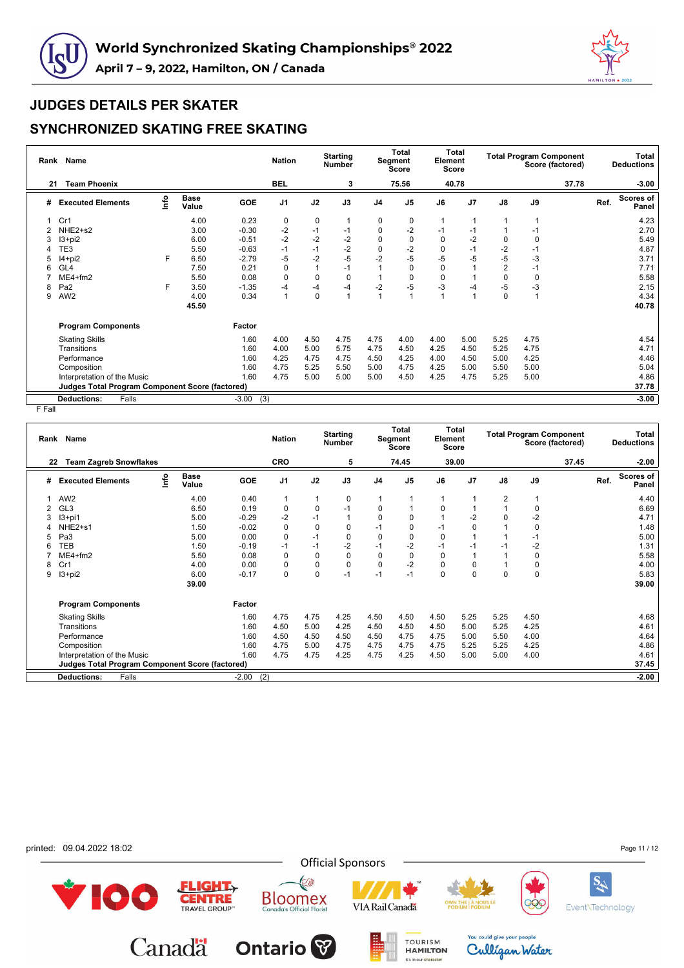



## **SYNCHRONIZED SKATING FREE SKATING**

|    | Rank Name                                              |      |                      |         | <b>Nation</b>  |              | <b>Starting</b><br><b>Number</b> |                | <b>Total</b><br>Segment<br>Score | Element  | <b>Total</b><br><b>Score</b> |                | <b>Total Program Component</b> | Score (factored) |      | Total<br><b>Deductions</b> |
|----|--------------------------------------------------------|------|----------------------|---------|----------------|--------------|----------------------------------|----------------|----------------------------------|----------|------------------------------|----------------|--------------------------------|------------------|------|----------------------------|
| 21 | <b>Team Phoenix</b>                                    |      |                      |         | <b>BEL</b>     |              | 3                                |                | 75.56                            |          | 40.78                        |                |                                | 37.78            |      | $-3.00$                    |
| #  | <b>Executed Elements</b>                               | Info | <b>Base</b><br>Value | GOE     | J <sub>1</sub> | J2           | J3                               | J <sub>4</sub> | J <sub>5</sub>                   | J6       | J <sub>7</sub>               | J8             | J9                             |                  | Ref. | <b>Scores of</b><br>Panel  |
|    | Cr1                                                    |      | 4.00                 | 0.23    | 0              | 0            |                                  | 0              | 0                                |          |                              |                | $\mathbf{1}$                   |                  |      | 4.23                       |
| 2  | NHE2+s2                                                |      | 3.00                 | $-0.30$ | $-2$           | $-1$         | $-1$                             | 0              | $-2$                             |          | -1                           |                | $-1$                           |                  |      | 2.70                       |
| 3  | $13 + pi2$                                             |      | 6.00                 | $-0.51$ | $-2$           | $-2$         | $-2$                             | 0              | 0                                | $\Omega$ | $-2$                         | 0              | 0                              |                  |      | 5.49                       |
|    | TE3                                                    |      | 5.50                 | $-0.63$ | $-1$           | $-1$         | $-2$                             | $\mathbf 0$    | $-2$                             | $\Omega$ | $-1$                         | $-2$           | $-1$                           |                  |      | 4.87                       |
| 5  | I4+pi2                                                 | F    | 6.50                 | $-2.79$ | -5             | $-2$         | $-5$                             | $-2$           | $-5$                             | $-5$     | -5                           | $-5$           | $-3$                           |                  |      | 3.71                       |
| 6  | GL <sub>4</sub>                                        |      | 7.50                 | 0.21    | 0              | $\mathbf{1}$ | $-1$                             |                | 0                                | 0        |                              | $\overline{2}$ | $-1$                           |                  |      | 7.71                       |
|    | $ME4 + fm2$                                            |      | 5.50                 | 0.08    | $\mathbf 0$    | $\Omega$     | 0                                |                | 0                                | $\Omega$ |                              | 0              | 0                              |                  |      | 5.58                       |
| 8  | Pa <sub>2</sub>                                        | F    | 3.50                 | $-1.35$ | -4             | $-4$         | $-4$                             | $-2$           | $-5$                             | -3       | -4                           | $-5$           | $-3$                           |                  |      | 2.15                       |
| 9  | AW <sub>2</sub>                                        |      | 4.00<br>45.50        | 0.34    | $\mathbf{1}$   | 0            |                                  |                |                                  |          |                              | $\mathbf 0$    | $\overline{1}$                 |                  |      | 4.34<br>40.78              |
|    | <b>Program Components</b>                              |      |                      | Factor  |                |              |                                  |                |                                  |          |                              |                |                                |                  |      |                            |
|    | <b>Skating Skills</b>                                  |      |                      | 1.60    | 4.00           | 4.50         | 4.75                             | 4.75           | 4.00                             | 4.00     | 5.00                         | 5.25           | 4.75                           |                  |      | 4.54                       |
|    | Transitions                                            |      |                      | 1.60    | 4.00           | 5.00         | 5.75                             | 4.75           | 4.50                             | 4.25     | 4.50                         | 5.25           | 4.75                           |                  |      | 4.71                       |
|    | Performance                                            |      |                      | 1.60    | 4.25           | 4.75         | 4.75                             | 4.50           | 4.25                             | 4.00     | 4.50                         | 5.00           | 4.25                           |                  |      | 4.46                       |
|    | Composition                                            |      |                      | 1.60    | 4.75           | 5.25         | 5.50                             | 5.00           | 4.75                             | 4.25     | 5.00                         | 5.50           | 5.00                           |                  |      | 5.04                       |
|    | Interpretation of the Music                            |      |                      | 1.60    | 4.75           | 5.00         | 5.00                             | 5.00           | 4.50                             | 4.25     | 4.75                         | 5.25           | 5.00                           |                  |      | 4.86                       |
|    | <b>Judges Total Program Component Score (factored)</b> |      |                      |         |                |              |                                  |                |                                  |          |                              |                |                                |                  |      | 37.78                      |
|    | <b>Deductions:</b><br>Falls                            |      |                      | $-3.00$ | (3)            |              |                                  |                |                                  |          |                              |                |                                |                  |      | $-3.00$                    |

|    | Rank Name                                              |      |                      |            | <b>Nation</b>  |             | <b>Starting</b><br><b>Number</b> |                | Total<br>Segment<br><b>Score</b> | Element  | Total<br><b>Score</b> |                         |             | <b>Total Program Component</b><br>Score (factored) |      | Total<br><b>Deductions</b> |
|----|--------------------------------------------------------|------|----------------------|------------|----------------|-------------|----------------------------------|----------------|----------------------------------|----------|-----------------------|-------------------------|-------------|----------------------------------------------------|------|----------------------------|
| 22 | <b>Team Zagreb Snowflakes</b>                          |      |                      |            | CRO            |             | 5                                |                | 74.45                            |          | 39.00                 |                         |             | 37.45                                              |      | $-2.00$                    |
| #  | <b>Executed Elements</b>                               | lnfo | <b>Base</b><br>Value | <b>GOE</b> | J <sub>1</sub> | J2          | J3                               | J <sub>4</sub> | J <sub>5</sub>                   | J6       | J <sub>7</sub>        | $\mathsf{J}8$           | J9          |                                                    | Ref. | <b>Scores of</b><br>Panel  |
|    | AW <sub>2</sub>                                        |      | 4.00                 | 0.40       | $\mathbf 1$    | 1           | 0                                | 1              |                                  |          |                       | $\overline{\mathbf{c}}$ |             |                                                    |      | 4.40                       |
| 2  | GL <sub>3</sub>                                        |      | 6.50                 | 0.19       | 0              | $\mathbf 0$ | $-1$                             | 0              |                                  | $\Omega$ |                       |                         | 0           |                                                    |      | 6.69                       |
|    | $13+pi1$                                               |      | 5.00                 | $-0.29$    | $-2$           | $-1$        | 1                                | $\Omega$       | 0                                |          | $-2$                  | 0                       | $-2$        |                                                    |      | 4.71                       |
|    | NHE2+s1                                                |      | 1.50                 | $-0.02$    | $\pmb{0}$      | 0           | 0                                | $-1$           | 0                                | $-1$     | 0                     |                         | 0           |                                                    |      | 1.48                       |
| 5  | Pa3                                                    |      | 5.00                 | 0.00       | $\mathbf 0$    | $-1$        | 0                                | $\Omega$       | $\Omega$                         | $\Omega$ |                       |                         | $-1$        |                                                    |      | 5.00                       |
| 6  | TEB                                                    |      | 1.50                 | $-0.19$    | $-1$           | $-1$        | $-2$                             | $-1$           | $-2$                             | $-1$     | $-1$                  | $-1$                    | $-2$        |                                                    |      | 1.31                       |
|    | $ME4 + fm2$                                            |      | 5.50                 | 0.08       | 0              | 0           | 0                                | 0              | 0                                | 0        |                       |                         | 0           |                                                    |      | 5.58                       |
| 8  | Cr1                                                    |      | 4.00                 | 0.00       | 0              | $\mathbf 0$ | 0                                | $\Omega$       | $-2$                             | $\Omega$ | 0                     |                         | 0           |                                                    |      | 4.00                       |
| 9  | $13 + pi2$                                             |      | 6.00<br>39.00        | $-0.17$    | 0              | $\mathbf 0$ | $-1$                             | $-1$           | $-1$                             | $\Omega$ | 0                     | 0                       | $\mathbf 0$ |                                                    |      | 5.83<br>39.00              |
|    | <b>Program Components</b>                              |      |                      | Factor     |                |             |                                  |                |                                  |          |                       |                         |             |                                                    |      |                            |
|    | <b>Skating Skills</b>                                  |      |                      | 1.60       | 4.75           | 4.75        | 4.25                             | 4.50           | 4.50                             | 4.50     | 5.25                  | 5.25                    | 4.50        |                                                    |      | 4.68                       |
|    | Transitions                                            |      |                      | 1.60       | 4.50           | 5.00        | 4.25                             | 4.50           | 4.50                             | 4.50     | 5.00                  | 5.25                    | 4.25        |                                                    |      | 4.61                       |
|    | Performance                                            |      |                      | 1.60       | 4.50           | 4.50        | 4.50                             | 4.50           | 4.75                             | 4.75     | 5.00                  | 5.50                    | 4.00        |                                                    |      | 4.64                       |
|    | Composition                                            |      |                      | 1.60       | 4.75           | 5.00        | 4.75                             | 4.75           | 4.75                             | 4.75     | 5.25                  | 5.25                    | 4.25        |                                                    |      | 4.86                       |
|    | Interpretation of the Music                            |      |                      | 1.60       | 4.75           | 4.75        | 4.25                             | 4.75           | 4.25                             | 4.50     | 5.00                  | 5.00                    | 4.00        |                                                    |      | 4.61                       |
|    | <b>Judges Total Program Component Score (factored)</b> |      |                      |            |                |             |                                  |                |                                  |          |                       |                         |             |                                                    |      | 37.45                      |
|    | Falls<br><b>Deductions:</b>                            |      |                      | $-2.00$    | (2)            |             |                                  |                |                                  |          |                       |                         |             |                                                    |      | $-2.00$                    |
|    |                                                        |      |                      |            |                |             |                                  |                |                                  |          |                       |                         |             |                                                    |      |                            |